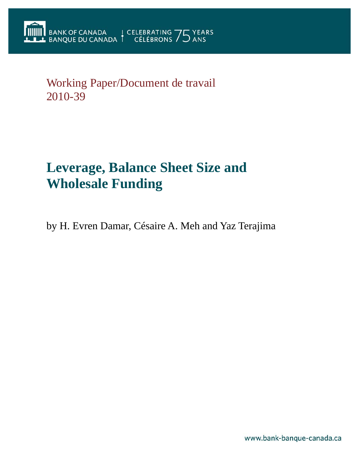Working Paper/Document de travail 2010-39

# **Leverage, Balance Sheet Size and Wholesale Funding**

by H. Evren Damar, Césaire A. Meh and Yaz Terajima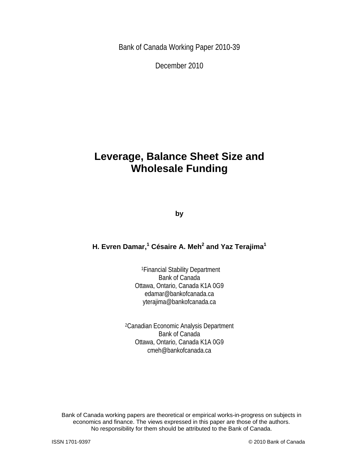Bank of Canada Working Paper 2010-39

December 2010

## **Leverage, Balance Sheet Size and Wholesale Funding**

**by** 

## **H. Evren Damar,<sup>1</sup> Césaire A. Meh** $^2$  **and Yaz Terajima** $^1$

1Financial Stability Department Bank of Canada Ottawa, Ontario, Canada K1A 0G9 edamar@bankofcanada.ca yterajima@bankofcanada.ca

2Canadian Economic Analysis Department Bank of Canada Ottawa, Ontario, Canada K1A 0G9 cmeh@bankofcanada.ca

Bank of Canada working papers are theoretical or empirical works-in-progress on subjects in economics and finance. The views expressed in this paper are those of the authors. No responsibility for them should be attributed to the Bank of Canada.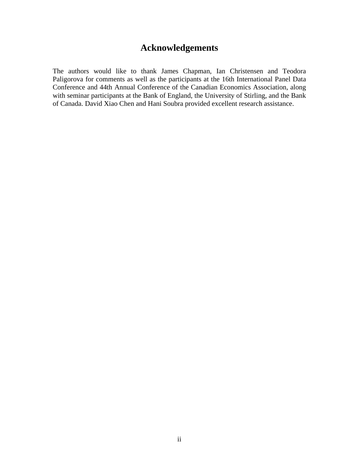## **Acknowledgements**

The authors would like to thank James Chapman, Ian Christensen and Teodora Paligorova for comments as well as the participants at the 16th International Panel Data Conference and 44th Annual Conference of the Canadian Economics Association, along with seminar participants at the Bank of England, the University of Stirling, and the Bank of Canada. David Xiao Chen and Hani Soubra provided excellent research assistance.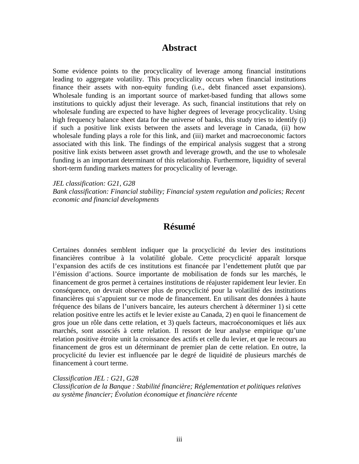## **Abstract**

Some evidence points to the procyclicality of leverage among financial institutions leading to aggregate volatility. This procyclicality occurs when financial institutions finance their assets with non-equity funding (i.e., debt financed asset expansions). Wholesale funding is an important source of market-based funding that allows some institutions to quickly adjust their leverage. As such, financial institutions that rely on wholesale funding are expected to have higher degrees of leverage procyclicality. Using high frequency balance sheet data for the universe of banks, this study tries to identify (i) if such a positive link exists between the assets and leverage in Canada, (ii) how wholesale funding plays a role for this link, and (iii) market and macroeconomic factors associated with this link. The findings of the empirical analysis suggest that a strong positive link exists between asset growth and leverage growth, and the use to wholesale funding is an important determinant of this relationship. Furthermore, liquidity of several short-term funding markets matters for procyclicality of leverage.

*JEL classification: G21, G28* 

*Bank classification: Financial stability; Financial system regulation and policies; Recent economic and financial developments* 

## **Résumé**

Certaines données semblent indiquer que la procyclicité du levier des institutions financières contribue à la volatilité globale. Cette procyclicité apparaît lorsque l'expansion des actifs de ces institutions est financée par l'endettement plutôt que par l'émission d'actions. Source importante de mobilisation de fonds sur les marchés, le financement de gros permet à certaines institutions de réajuster rapidement leur levier. En conséquence, on devrait observer plus de procyclicité pour la volatilité des institutions financières qui s'appuient sur ce mode de financement. En utilisant des données à haute fréquence des bilans de l'univers bancaire, les auteurs cherchent à déterminer 1) si cette relation positive entre les actifs et le levier existe au Canada, 2) en quoi le financement de gros joue un rôle dans cette relation, et 3) quels facteurs, macroéconomiques et liés aux marchés, sont associés à cette relation. Il ressort de leur analyse empirique qu'une relation positive étroite unit la croissance des actifs et celle du levier, et que le recours au financement de gros est un déterminant de premier plan de cette relation. En outre, la procyclicité du levier est influencée par le degré de liquidité de plusieurs marchés de financement à court terme.

*Classification JEL : G21, G28* 

*Classification de la Banque : Stabilité financière; Réglementation et politiques relatives au système financier; Évolution économique et financière récente*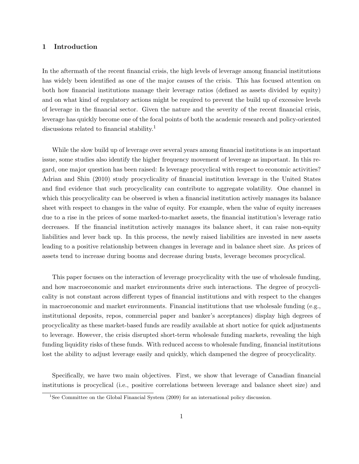#### 1 Introduction

In the aftermath of the recent financial crisis, the high levels of leverage among financial institutions has widely been identified as one of the major causes of the crisis. This has focused attention on both how financial institutions manage their leverage ratios (defined as assets divided by equity) and on what kind of regulatory actions might be required to prevent the build up of excessive levels of leverage in the financial sector. Given the nature and the severity of the recent financial crisis, leverage has quickly become one of the focal points of both the academic research and policy-oriented discussions related to financial stability.<sup>1</sup>

While the slow build up of leverage over several years among financial institutions is an important issue, some studies also identify the higher frequency movement of leverage as important. In this regard, one major question has been raised: Is leverage procyclical with respect to economic activities? Adrian and Shin (2010) study procyclicality of financial institution leverage in the United States and find evidence that such procyclicality can contribute to aggregate volatility. One channel in which this procyclicality can be observed is when a financial institution actively manages its balance sheet with respect to changes in the value of equity. For example, when the value of equity increases due to a rise in the prices of some marked-to-market assets, the financial institution's leverage ratio decreases. If the financial institution actively manages its balance sheet, it can raise non-equity liabilities and lever back up. In this process, the newly raised liabilities are invested in new assets leading to a positive relationship between changes in leverage and in balance sheet size. As prices of assets tend to increase during booms and decrease during busts, leverage becomes procyclical.

This paper focuses on the interaction of leverage procyclicality with the use of wholesale funding, and how macroeconomic and market environments drive such interactions. The degree of procyclicality is not constant across different types of financial institutions and with respect to the changes in macroeconomic and market environments. Financial institutions that use wholesale funding (e.g., institutional deposits, repos, commercial paper and banker's acceptances) display high degrees of procyclicality as these market-based funds are readily available at short notice for quick adjustments to leverage. However, the crisis disrupted short-term wholesale funding markets, revealing the high funding liquidity risks of these funds. With reduced access to wholesale funding, financial institutions lost the ability to adjust leverage easily and quickly, which dampened the degree of procyclicality.

Specifically, we have two main objectives. First, we show that leverage of Canadian financial institutions is procyclical (i.e., positive correlations between leverage and balance sheet size) and

<sup>&</sup>lt;sup>1</sup>See Committee on the Global Financial System (2009) for an international policy discussion.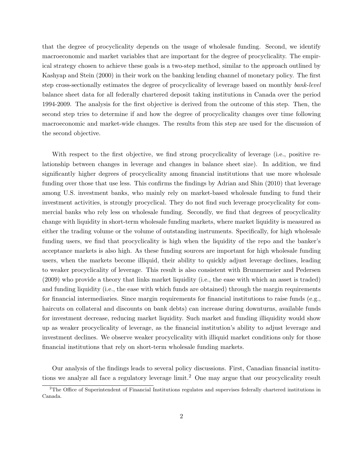that the degree of procyclicality depends on the usage of wholesale funding. Second, we identify macroeconomic and market variables that are important for the degree of procyclicality. The empirical strategy chosen to achieve these goals is a two-step method, similar to the approach outlined by Kashyap and Stein (2000) in their work on the banking lending channel of monetary policy. The first step cross-sectionally estimates the degree of procyclicality of leverage based on monthly bank-level balance sheet data for all federally chartered deposit taking institutions in Canada over the period 1994-2009. The analysis for the first objective is derived from the outcome of this step. Then, the second step tries to determine if and how the degree of procyclicality changes over time following macroeconomic and market-wide changes. The results from this step are used for the discussion of the second objective.

With respect to the first objective, we find strong procyclicality of leverage (i.e., positive relationship between changes in leverage and changes in balance sheet size). In addition, we find significantly higher degrees of procyclicality among financial institutions that use more wholesale funding over those that use less. This confirms the findings by Adrian and Shin (2010) that leverage among U.S. investment banks, who mainly rely on market-based wholesale funding to fund their investment activities, is strongly procyclical. They do not find such leverage procyclicality for commercial banks who rely less on wholesale funding. Secondly, we find that degrees of procyclicality change with liquidity in short-term wholesale funding markets, where market liquidity is measured as either the trading volume or the volume of outstanding instruments. Specifically, for high wholesale funding users, we find that procyclicality is high when the liquidity of the repo and the banker's acceptance markets is also high. As these funding sources are important for high wholesale funding users, when the markets become illiquid, their ability to quickly adjust leverage declines, leading to weaker procyclicality of leverage. This result is also consistent with Brunnermeier and Pedersen (2009) who provide a theory that links market liquidity (i.e., the ease with which an asset is traded) and funding liquidity (i.e., the ease with which funds are obtained) through the margin requirements for financial intermediaries. Since margin requirements for financial institutions to raise funds (e.g., haircuts on collateral and discounts on bank debts) can increase during downturns, available funds for investment decrease, reducing market liquidity. Such market and funding illiquidity would show up as weaker procyclicality of leverage, as the financial institution's ability to adjust leverage and investment declines. We observe weaker procyclicality with illiquid market conditions only for those financial institutions that rely on short-term wholesale funding markets.

Our analysis of the findings leads to several policy discussions. First, Canadian financial institutions we analyze all face a regulatory leverage limit.<sup>2</sup> One may argue that our procyclicality result

<sup>2</sup>The Office of Superintendent of Financial Institutions regulates and supervises federally chartered institutions in Canada.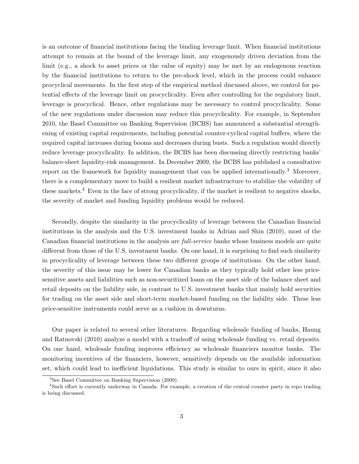is an outcome of financial institutions facing the binding leverage limit. When financial institutions attempt to remain at the bound of the leverage limit, any exogenously driven deviation from the limit (e.g., a shock to asset prices or the value of equity) may be met by an endogenous reaction by the financial institutions to return to the pre-shock level, which in the process could enhance procyclical movements. In the first step of the empirical method discussed above, we control for potential effects of the leverage limit on procyclicality. Even after controlling for the regulatory limit, leverage is procyclical. Hence, other regulations may be necessary to control procyclicality. Some of the new regulations under discussion may reduce this procyclicality. For example, in September 2010, the Basel Committee on Banking Supervision (BCBS) has announced a substantial strengthening of existing capital requirements, including potential counter-cyclical capital buffers, where the required capital increases during booms and decreases during busts. Such a regulation would directly reduce leverage procyclicality. In addition, the BCBS has been discussing directly restricting banks' balance-sheet liquidity-risk management. In December 2009, the BCBS has published a consultative report on the framework for liquidity management that can be applied internationally.<sup>3</sup> Moreover, there is a complementary move to build a resilient market infrastructure to stabilize the volatility of these markets.<sup>4</sup> Even in the face of strong procyclicality, if the market is resilient to negative shocks, the severity of market and funding liquidity problems would be reduced.

Secondly, despite the similarity in the procyclicality of leverage between the Canadian financial institutions in the analysis and the U.S. investment banks in Adrian and Shin (2010), most of the Canadian financial institutions in the analysis are full-service banks whose business models are quite different from those of the U.S. investment banks. On one hand, it is surprising to find such similarity in procyclicality of leverage between these two different groups of institutions. On the other hand, the severity of this issue may be lower for Canadian banks as they typically hold other less pricesensitive assets and liabilities such as non-securitized loans on the asset side of the balance sheet and retail deposits on the liability side, in contrast to U.S. investment banks that mainly hold securities for trading on the asset side and short-term market-based funding on the liability side. These less price-sensitive instruments could serve as a cushion in downturns.

Our paper is related to several other literatures. Regarding wholesale funding of banks, Haung and Ratnovski (2010) analyze a model with a tradeoff of using wholesale funding vs. retail deposits. On one hand, wholesale funding improves efficiency as wholesale financiers monitor banks. The monitoring incentives of the financiers, however, sensitively depends on the available information set, which could lead to inefficient liquidations. This study is similar to ours in spirit, since it also

<sup>3</sup>See Basel Committee on Banking Supervision (2009).

<sup>4</sup>Such effort is currently underway in Canada. For example, a creation of the central counter party in repo trading is being discussed.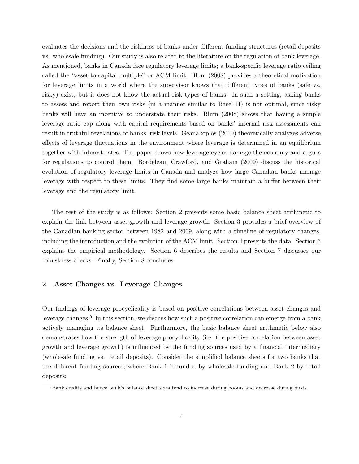evaluates the decisions and the riskiness of banks under different funding structures (retail deposits vs. wholesale funding). Our study is also related to the literature on the regulation of bank leverage. As mentioned, banks in Canada face regulatory leverage limits; a bank-specific leverage ratio ceiling called the "asset-to-capital multiple" or ACM limit. Blum (2008) provides a theoretical motivation for leverage limits in a world where the supervisor knows that different types of banks (safe vs. risky) exist, but it does not know the actual risk types of banks. In such a setting, asking banks to assess and report their own risks (in a manner similar to Basel II) is not optimal, since risky banks will have an incentive to understate their risks. Blum (2008) shows that having a simple leverage ratio cap along with capital requirements based on banks' internal risk assessments can result in truthful revelations of banks' risk levels. Geanakoplos (2010) theoretically analyzes adverse effects of leverage fluctuations in the environment where leverage is determined in an equilibrium together with interest rates. The paper shows how leverage cycles damage the economy and argues for regulations to control them. Bordeleau, Crawford, and Graham (2009) discuss the historical evolution of regulatory leverage limits in Canada and analyze how large Canadian banks manage leverage with respect to these limits. They find some large banks maintain a buffer between their leverage and the regulatory limit.

The rest of the study is as follows: Section 2 presents some basic balance sheet arithmetic to explain the link between asset growth and leverage growth. Section 3 provides a brief overview of the Canadian banking sector between 1982 and 2009, along with a timeline of regulatory changes, including the introduction and the evolution of the ACM limit. Section 4 presents the data. Section 5 explains the empirical methodology. Section 6 describes the results and Section 7 discusses our robustness checks. Finally, Section 8 concludes.

#### 2 Asset Changes vs. Leverage Changes

Our findings of leverage procyclicality is based on positive correlations between asset changes and leverage changes.<sup>5</sup> In this section, we discuss how such a positive correlation can emerge from a bank actively managing its balance sheet. Furthermore, the basic balance sheet arithmetic below also demonstrates how the strength of leverage procyclicality (i.e. the positive correlation between asset growth and leverage growth) is influenced by the funding sources used by a financial intermediary (wholesale funding vs. retail deposits). Consider the simplified balance sheets for two banks that use different funding sources, where Bank 1 is funded by wholesale funding and Bank 2 by retail deposits:

<sup>&</sup>lt;sup>5</sup>Bank credits and hence bank's balance sheet sizes tend to increase during booms and decrease during busts.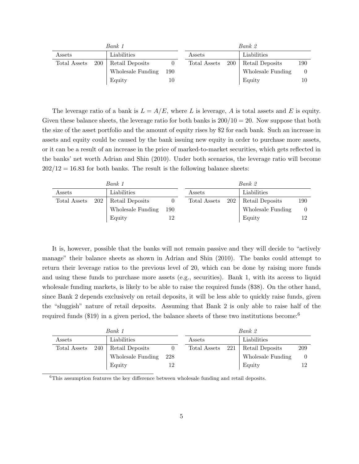| Bank 1       |            |                   |     | Bank 2       |     |                   |     |
|--------------|------------|-------------------|-----|--------------|-----|-------------------|-----|
| Assets       |            | Liabilities       |     | Assets       |     | Liabilities       |     |
| Total Assets | <b>200</b> | Retail Deposits   |     | Total Assets | 200 | Retail Deposits   | 190 |
|              |            | Wholesale Funding | 190 |              |     | Wholesale Funding |     |
|              |            | Equity            | 10  |              |     | Equity            | 10  |

The leverage ratio of a bank is  $L = A/E$ , where L is leverage, A is total assets and E is equity. Given these balance sheets, the leverage ratio for both banks is  $200/10 = 20$ . Now suppose that both the size of the asset portfolio and the amount of equity rises by \$2 for each bank. Such an increase in assets and equity could be caused by the bank issuing new equity in order to purchase more assets, or it can be a result of an increase in the price of marked-to-market securities, which gets reflected in the banks' net worth Adrian and Shin (2010). Under both scenarios, the leverage ratio will become  $202/12 = 16.83$  for both banks. The result is the following balance sheets:

| Bank 1       |     |                   |     | Bank 2       |     |                   |     |
|--------------|-----|-------------------|-----|--------------|-----|-------------------|-----|
| Assets       |     | Liabilities       |     | Assets       |     | Liabilities       |     |
| Total Assets | 202 | Retail Deposits   |     | Total Assets | 202 | Retail Deposits   | 190 |
|              |     | Wholesale Funding | 190 |              |     | Wholesale Funding |     |
|              |     | Equity            |     |              |     | Equity            |     |

It is, however, possible that the banks will not remain passive and they will decide to "actively manage" their balance sheets as shown in Adrian and Shin (2010). The banks could attempt to return their leverage ratios to the previous level of 20, which can be done by raising more funds and using these funds to purchase more assets (e.g., securities). Bank 1, with its access to liquid wholesale funding markets, is likely to be able to raise the required funds (\$38). On the other hand, since Bank 2 depends exclusively on retail deposits, it will be less able to quickly raise funds, given the "sluggish" nature of retail deposits. Assuming that Bank 2 is only able to raise half of the required funds (\$19) in a given period, the balance sheets of these two institutions become:<sup>6</sup>

|              | Bank 1 | Bank 2            |     |                  |  |                   |     |
|--------------|--------|-------------------|-----|------------------|--|-------------------|-----|
| Assets       |        | Liabilities       |     | Assets           |  | Liabilities       |     |
| Total Assets | - 240  | Retail Deposits   |     | Total Assets 221 |  | Retail Deposits   | 209 |
|              |        | Wholesale Funding | 228 |                  |  | Wholesale Funding |     |
|              |        | Equity            | 12  |                  |  | Equity            |     |

<sup>6</sup>This assumption features the key difference between wholesale funding and retail deposits.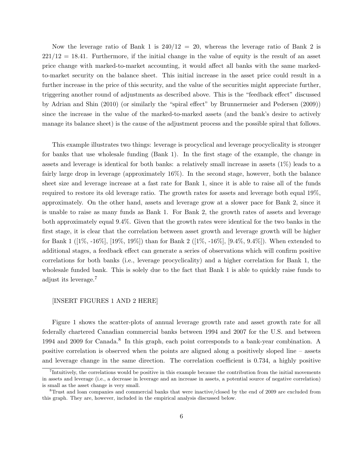Now the leverage ratio of Bank 1 is  $240/12 = 20$ , whereas the leverage ratio of Bank 2 is  $221/12 = 18.41$ . Furthermore, if the initial change in the value of equity is the result of an asset price change with marked-to-market accounting, it would affect all banks with the same markedto-market security on the balance sheet. This initial increase in the asset price could result in a further increase in the price of this security, and the value of the securities might appreciate further, triggering another round of adjustments as described above. This is the "feedback effect" discussed by Adrian and Shin (2010) (or similarly the "spiral effect" by Brunnermeier and Pedersen (2009)) since the increase in the value of the marked-to-marked assets (and the bank's desire to actively manage its balance sheet) is the cause of the adjustment process and the possible spiral that follows.

This example illustrates two things: leverage is procyclical and leverage procyclicality is stronger for banks that use wholesale funding (Bank 1). In the first stage of the example, the change in assets and leverage is identical for both banks: a relatively small increase in assets  $(1\%)$  leads to a fairly large drop in leverage (approximately 16%). In the second stage, however, both the balance sheet size and leverage increase at a fast rate for Bank 1, since it is able to raise all of the funds required to restore its old leverage ratio. The growth rates for assets and leverage both equal 19%, approximately. On the other hand, assets and leverage grow at a slower pace for Bank 2, since it is unable to raise as many funds as Bank 1. For Bank 2, the growth rates of assets and leverage both approximately equal 9.4%. Given that the growth rates were identical for the two banks in the first stage, it is clear that the correlation between asset growth and leverage growth will be higher for Bank 1 ( $[1\%, -16\%, [19\%, 19\%])$  than for Bank 2 ( $[1\%, -16\%, [9.4\%, 9.4\%])$ ). When extended to additional stages, a feedback effect can generate a series of observations which will confirm positive correlations for both banks (i.e., leverage procyclicality) and a higher correlation for Bank 1, the wholesale funded bank. This is solely due to the fact that Bank 1 is able to quickly raise funds to adjust its leverage.<sup>7</sup>

#### [INSERT FIGURES 1 AND 2 HERE]

Figure 1 shows the scatter-plots of annual leverage growth rate and asset growth rate for all federally chartered Canadian commercial banks between 1994 and 2007 for the U.S. and between 1994 and 2009 for Canada.<sup>8</sup> In this graph, each point corresponds to a bank-year combination. A positive correlation is observed when the points are aligned along a positively sloped line – assets and leverage change in the same direction. The correlation coefficient is 0.734, a highly positive

<sup>&</sup>lt;sup>7</sup>Intuitively, the correlations would be positive in this example because the contribution from the initial movements in assets and leverage (i.e., a decrease in leverage and an increase in assets, a potential source of negative correlation) is small as the asset change is very small.

<sup>8</sup>Trust and loan companies and commercial banks that were inactive/closed by the end of 2009 are excluded from this graph. They are, however, included in the empirical analysis discussed below.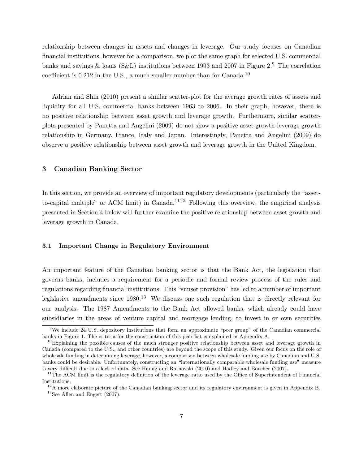relationship between changes in assets and changes in leverage. Our study focuses on Canadian financial institutions, however for a comparison, we plot the same graph for selected U.S. commercial banks and savings & loans (S&L) institutions between 1993 and 2007 in Figure 2.<sup>9</sup> The correlation coefficient is  $0.212$  in the U.S., a much smaller number than for Canada.<sup>10</sup>

Adrian and Shin (2010) present a similar scatter-plot for the average growth rates of assets and liquidity for all U.S. commercial banks between 1963 to 2006. In their graph, however, there is no positive relationship between asset growth and leverage growth. Furthermore, similar scatterplots presented by Panetta and Angelini (2009) do not show a positive asset growth-leverage growth relationship in Germany, France, Italy and Japan. Interestingly, Panetta and Angelini (2009) do observe a positive relationship between asset growth and leverage growth in the United Kingdom.

#### 3 Canadian Banking Sector

In this section, we provide an overview of important regulatory developments (particularly the "assetto-capital multiple" or ACM limit) in Canada.<sup>1112</sup> Following this overview, the empirical analysis presented in Section 4 below will further examine the positive relationship between asset growth and leverage growth in Canada.

#### 3.1 Important Change in Regulatory Environment

An important feature of the Canadian banking sector is that the Bank Act, the legislation that governs banks, includes a requirement for a periodic and formal review process of the rules and regulations regarding financial institutions. This "sunset provision" has led to a number of important legislative amendments since 1980.<sup>13</sup> We discuss one such regulation that is directly relevant for our analysis. The 1987 Amendments to the Bank Act allowed banks, which already could have subsidiaries in the areas of venture capital and mortgage lending, to invest in or own securities

<sup>9</sup>We include 24 U.S. depository institutions that form an approximate "peer group" of the Canadian commercial banks in Figure 1. The criteria for the construction of this peer list is explained in Appendix A.

 $^{10}$ Explaining the possible causes of the much stronger positive relationship between asset and leverage growth in Canada (compared to the U.S., and other countries) are beyond the scope of this study. Given our focus on the role of wholesale funding in determining leverage, however, a comparison between wholesale funding use by Canadian and U.S. banks could be desirable. Unfortunately, constructing an "internationally comparable wholesale funding use" measure is very difficult due to a lack of data. See Haung and Ratnovski (2010) and Hadley and Boecher (2007).

 $11$ The ACM limit is the regulatory definition of the leverage ratio used by the Office of Superintendent of Financial Institutions.

<sup>&</sup>lt;sup>12</sup>A more elaborate picture of the Canadian banking sector and its regulatory environment is given in Appendix B. <sup>13</sup>See Allen and Engert (2007).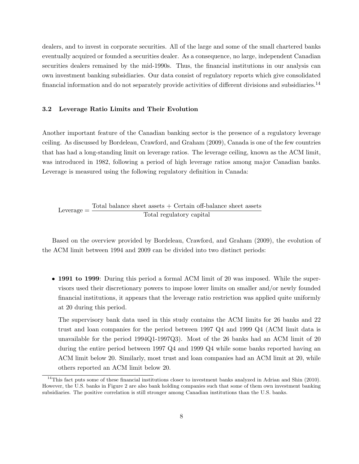dealers, and to invest in corporate securities. All of the large and some of the small chartered banks eventually acquired or founded a securities dealer. As a consequence, no large, independent Canadian securities dealers remained by the mid-1990s. Thus, the financial institutions in our analysis can own investment banking subsidiaries. Our data consist of regulatory reports which give consolidated financial information and do not separately provide activities of different divisions and subsidiaries.<sup>14</sup>

#### 3.2 Leverage Ratio Limits and Their Evolution

Another important feature of the Canadian banking sector is the presence of a regulatory leverage ceiling. As discussed by Bordeleau, Crawford, and Graham (2009), Canada is one of the few countries that has had a long-standing limit on leverage ratios. The leverage ceiling, known as the ACM limit, was introduced in 1982, following a period of high leverage ratios among major Canadian banks. Leverage is measured using the following regulatory definition in Canada:

Leverage  $=$  Total balance sheet assets  $+$  Certain off-balance sheet assets Total regulatory capital

Based on the overview provided by Bordeleau, Crawford, and Graham (2009), the evolution of the ACM limit between 1994 and 2009 can be divided into two distinct periods:

• 1991 to 1999: During this period a formal ACM limit of 20 was imposed. While the supervisors used their discretionary powers to impose lower limits on smaller and/or newly founded financial institutions, it appears that the leverage ratio restriction was applied quite uniformly at 20 during this period.

The supervisory bank data used in this study contains the ACM limits for 26 banks and 22 trust and loan companies for the period between 1997 Q4 and 1999 Q4 (ACM limit data is unavailable for the period 1994Q1-1997Q3). Most of the 26 banks had an ACM limit of 20 during the entire period between 1997 Q4 and 1999 Q4 while some banks reported having an ACM limit below 20. Similarly, most trust and loan companies had an ACM limit at 20, while others reported an ACM limit below 20.

<sup>&</sup>lt;sup>14</sup>This fact puts some of these financial institutions closer to investment banks analyzed in Adrian and Shin (2010). However, the U.S. banks in Figure 2 are also bank holding companies such that some of them own investment banking subsidiaries. The positive correlation is still stronger among Canadian institutions than the U.S. banks.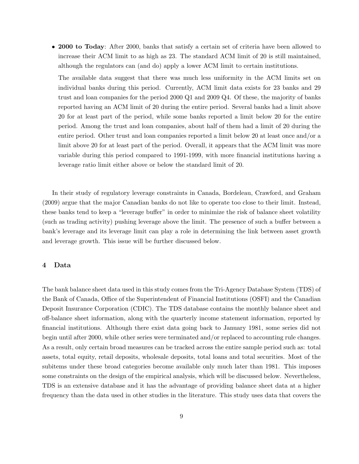• 2000 to Today: After 2000, banks that satisfy a certain set of criteria have been allowed to increase their ACM limit to as high as 23. The standard ACM limit of 20 is still maintained, although the regulators can (and do) apply a lower ACM limit to certain institutions.

The available data suggest that there was much less uniformity in the ACM limits set on individual banks during this period. Currently, ACM limit data exists for 23 banks and 29 trust and loan companies for the period 2000 Q1 and 2009 Q4. Of these, the majority of banks reported having an ACM limit of 20 during the entire period. Several banks had a limit above 20 for at least part of the period, while some banks reported a limit below 20 for the entire period. Among the trust and loan companies, about half of them had a limit of 20 during the entire period. Other trust and loan companies reported a limit below 20 at least once and/or a limit above 20 for at least part of the period. Overall, it appears that the ACM limit was more variable during this period compared to 1991-1999, with more financial institutions having a leverage ratio limit either above or below the standard limit of 20.

In their study of regulatory leverage constraints in Canada, Bordeleau, Crawford, and Graham (2009) argue that the major Canadian banks do not like to operate too close to their limit. Instead, these banks tend to keep a "leverage buffer" in order to minimize the risk of balance sheet volatility (such as trading activity) pushing leverage above the limit. The presence of such a buffer between a bank's leverage and its leverage limit can play a role in determining the link between asset growth and leverage growth. This issue will be further discussed below.

#### 4 Data

The bank balance sheet data used in this study comes from the Tri-Agency Database System (TDS) of the Bank of Canada, Office of the Superintendent of Financial Institutions (OSFI) and the Canadian Deposit Insurance Corporation (CDIC). The TDS database contains the monthly balance sheet and off-balance sheet information, along with the quarterly income statement information, reported by financial institutions. Although there exist data going back to January 1981, some series did not begin until after 2000, while other series were terminated and/or replaced to accounting rule changes. As a result, only certain broad measures can be tracked across the entire sample period such as: total assets, total equity, retail deposits, wholesale deposits, total loans and total securities. Most of the subitems under these broad categories become available only much later than 1981. This imposes some constraints on the design of the empirical analysis, which will be discussed below. Nevertheless, TDS is an extensive database and it has the advantage of providing balance sheet data at a higher frequency than the data used in other studies in the literature. This study uses data that covers the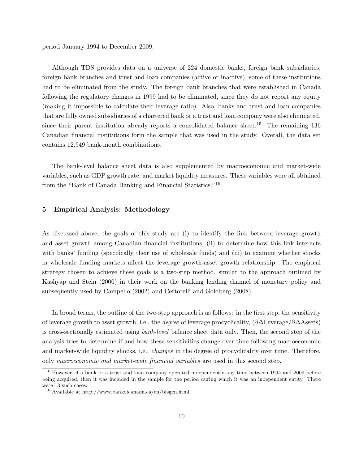period January 1994 to December 2009.

Although TDS provides data on a universe of 224 domestic banks, foreign bank subsidiaries, foreign bank branches and trust and loan companies (active or inactive), some of these institutions had to be eliminated from the study. The foreign bank branches that were established in Canada following the regulatory changes in 1999 had to be eliminated, since they do not report any equity (making it impossible to calculate their leverage ratio). Also, banks and trust and loan companies that are fully owned subsidiaries of a chartered bank or a trust and loan company were also eliminated, since their parent institution already reports a consolidated balance sheet.<sup>15</sup> The remaining 136 Canadian financial institutions form the sample that was used in the study. Overall, the data set contains 12,949 bank-month combinations.

The bank-level balance sheet data is also supplemented by macroeconomic and market-wide variables, such as GDP growth rate, and market liquidity measures. These variables were all obtained from the "Bank of Canada Banking and Financial Statistics."<sup>16</sup>

#### 5 Empirical Analysis: Methodology

As discussed above, the goals of this study are (i) to identify the link between leverage growth and asset growth among Canadian financial institutions, (ii) to determine how this link interacts with banks' funding (specifically their use of wholesale funds) and (iii) to examine whether shocks in wholesale funding markets affect the leverage growth-asset growth relationship. The empirical strategy chosen to achieve these goals is a two-step method, similar to the approach outlined by Kashyap and Stein (2000) in their work on the banking lending channel of monetary policy and subsequently used by Campello (2002) and Certorelli and Goldberg (2008).

In broad terms, the outline of the two-step approach is as follows: in the first step, the sensitivity of leverage growth to asset growth, i.e., the degree of leverage procyclicality, (∂∆Leverage/∂∆Assets) is cross-sectionally estimated using bank-level balance sheet data only. Then, the second step of the analysis tries to determine if and how these sensitivities change over time following macroeconomic and market-wide liquidity shocks, i.e., *changes* in the degree of procyclicality over time. Therefore, only macroeconomic and market-wide financial variables are used in this second step.

<sup>&</sup>lt;sup>15</sup>However, if a bank or a trust and loan company operated independently any time between 1994 and 2009 before being acquired, then it was included in the sample for the period during which it was an independent entity. There were 13 such cases.

<sup>16</sup>Available at http://www.bankofcanada.ca/en/bfsgen.html.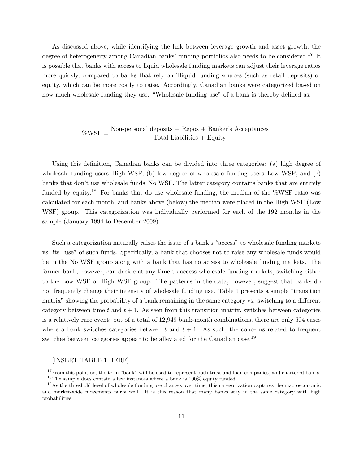As discussed above, while identifying the link between leverage growth and asset growth, the degree of heterogeneity among Canadian banks' funding portfolios also needs to be considered.<sup>17</sup> It is possible that banks with access to liquid wholesale funding markets can adjust their leverage ratios more quickly, compared to banks that rely on illiquid funding sources (such as retail deposits) or equity, which can be more costly to raise. Accordingly, Canadian banks were categorized based on how much wholesale funding they use. "Wholesale funding use" of a bank is thereby defined as:

## $%WSF = \frac{Non-personal \text{ deposits} + \text{Repos} + \text{Banker's Acceptances}}{\text{Total Liabilities} + \text{Equity}}$

Using this definition, Canadian banks can be divided into three categories: (a) high degree of wholesale funding users–High WSF, (b) low degree of wholesale funding users–Low WSF, and (c) banks that don't use wholesale funds–No WSF. The latter category contains banks that are entirely funded by equity.<sup>18</sup> For banks that do use wholesale funding, the median of the %WSF ratio was calculated for each month, and banks above (below) the median were placed in the High WSF (Low WSF) group. This categorization was individually performed for each of the 192 months in the sample (January 1994 to December 2009).

Such a categorization naturally raises the issue of a bank's "access" to wholesale funding markets vs. its "use" of such funds. Specifically, a bank that chooses not to raise any wholesale funds would be in the No WSF group along with a bank that has no access to wholesale funding markets. The former bank, however, can decide at any time to access wholesale funding markets, switching either to the Low WSF or High WSF group. The patterns in the data, however, suggest that banks do not frequently change their intensity of wholesale funding use. Table 1 presents a simple "transition matrix" showing the probability of a bank remaining in the same category vs. switching to a different category between time t and  $t + 1$ . As seen from this transition matrix, switches between categories is a relatively rare event: out of a total of 12,949 bank-month combinations, there are only 604 cases where a bank switches categories between t and  $t + 1$ . As such, the concerns related to frequent switches between categories appear to be alleviated for the Canadian case.<sup>19</sup>

#### [INSERT TABLE 1 HERE]

 $17$  From this point on, the term "bank" will be used to represent both trust and loan companies, and chartered banks. <sup>18</sup>The sample does contain a few instances where a bank is 100% equity funded.

<sup>&</sup>lt;sup>19</sup>As the threshold level of wholesale funding use changes over time, this categorization captures the macroeconomic and market-wide movements fairly well. It is this reason that many banks stay in the same category with high probabilities.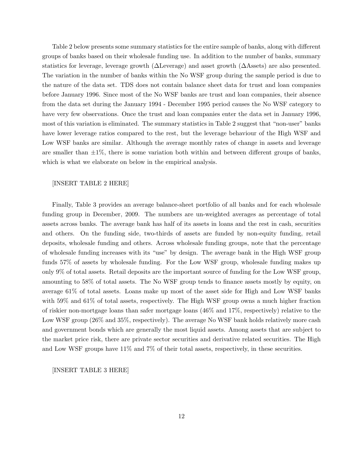Table 2 below presents some summary statistics for the entire sample of banks, along with different groups of banks based on their wholesale funding use. In addition to the number of banks, summary statistics for leverage, leverage growth (∆Leverage) and asset growth (∆Assets) are also presented. The variation in the number of banks within the No WSF group during the sample period is due to the nature of the data set. TDS does not contain balance sheet data for trust and loan companies before January 1996. Since most of the No WSF banks are trust and loan companies, their absence from the data set during the January 1994 - December 1995 period causes the No WSF category to have very few observations. Once the trust and loan companies enter the data set in January 1996, most of this variation is eliminated. The summary statistics in Table 2 suggest that "non-user" banks have lower leverage ratios compared to the rest, but the leverage behaviour of the High WSF and Low WSF banks are similar. Although the average monthly rates of change in assets and leverage are smaller than  $\pm 1\%$ , there is some variation both within and between different groups of banks, which is what we elaborate on below in the empirical analysis.

#### [INSERT TABLE 2 HERE]

Finally, Table 3 provides an average balance-sheet portfolio of all banks and for each wholesale funding group in December, 2009. The numbers are un-weighted averages as percentage of total assets across banks. The average bank has half of its assets in loans and the rest in cash, securities and others. On the funding side, two-thirds of assets are funded by non-equity funding, retail deposits, wholesale funding and others. Across wholesale funding groups, note that the percentage of wholesale funding increases with its "use" by design. The average bank in the High WSF group funds 57% of assets by wholesale funding. For the Low WSF group, wholesale funding makes up only 9% of total assets. Retail deposits are the important source of funding for the Low WSF group, amounting to 58% of total assets. The No WSF group tends to finance assets mostly by equity, on average 61% of total assets. Loans make up most of the asset side for High and Low WSF banks with 59% and 61% of total assets, respectively. The High WSF group owns a much higher fraction of riskier non-mortgage loans than safer mortgage loans (46% and 17%, respectively) relative to the Low WSF group (26\% and 35\%, respectively). The average No WSF bank holds relatively more cash and government bonds which are generally the most liquid assets. Among assets that are subject to the market price risk, there are private sector securities and derivative related securities. The High and Low WSF groups have 11% and 7% of their total assets, respectively, in these securities.

[INSERT TABLE 3 HERE]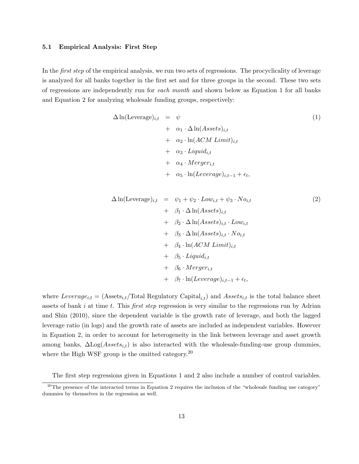#### 5.1 Empirical Analysis: First Step

In the *first step* of the empirical analysis, we run two sets of regressions. The procyclicality of leverage is analyzed for all banks together in the first set and for three groups in the second. These two sets of regressions are independently run for each month and shown below as Equation 1 for all banks and Equation 2 for analyzing wholesale funding groups, respectively:

$$
\Delta \ln(\text{Leverage})_{i,t} = \psi
$$
  
+  $\alpha_1 \cdot \Delta \ln(Assets)_{i,t}$   
+  $\alpha_2 \cdot \ln(ACM \text{ Limit})_{i,t}$   
+  $\alpha_3 \cdot \text{Light}_{i,t}$   
+  $\alpha_4 \cdot \text{Merge}_{i,t}$   
+  $\alpha_5 \cdot \ln(Leverage)_{i,t-1} + \epsilon_t,$  (1)

$$
\Delta \ln(\text{Leverage})_{i,t} = \psi_1 + \psi_2 \cdot Low_{i,t} + \psi_3 \cdot No_{i,t} \n+ \beta_1 \cdot \Delta \ln(Asets)_{i,t} \n+ \beta_2 \cdot \Delta \ln(Asets)_{i,t} \cdot Low_{i,t} \n+ \beta_3 \cdot \Delta \ln(Asets)_{i,t} \cdot No_{i,t} \n+ \beta_4 \cdot \ln(ACM Limit)_{i,t} \n+ \beta_5 \cdot Liquid_{i,t} \n+ \beta_6 \cdot Merge_{i,t} \n+ \beta_7 \cdot \ln(Leverage)_{i,t-1} + \epsilon_t,
$$
\n(1)

where  $Leverage_{i,t} = (Assets_{i,t}/Total Regularory Capital_{i,t})$  and  $Assets_{i,t}$  is the total balance sheet assets of bank i at time t. This first step regression is very similar to the regressions run by Adrian and Shin (2010), since the dependent variable is the growth rate of leverage, and both the lagged leverage ratio (in logs) and the growth rate of assets are included as independent variables. However in Equation 2, in order to account for heterogeneity in the link between leverage and asset growth among banks,  $\Delta \text{Log}(Assets_{i,t})$  is also interacted with the wholesale-funding-use group dummies, where the High WSF group is the omitted category.<sup>20</sup>

The first step regressions given in Equations 1 and 2 also include a number of control variables.

 $^{20}$ The presence of the interacted terms in Equation 2 requires the inclusion of the "wholesale funding use category" dummies by themselves in the regression as well.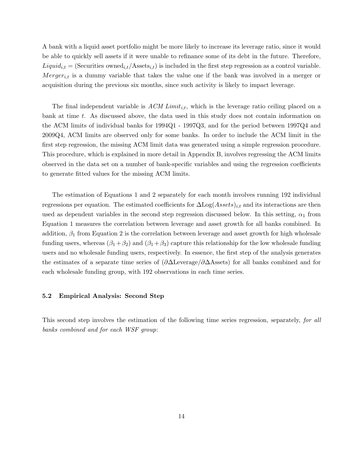A bank with a liquid asset portfolio might be more likely to increase its leverage ratio, since it would be able to quickly sell assets if it were unable to refinance some of its debt in the future. Therefore,  $Liquid_{i,t} = (Securities\ owned_{i,t}/Assets_{i,t})$  is included in the first step regression as a control variable.  $Mergeri<sub>t</sub>$  is a dummy variable that takes the value one if the bank was involved in a merger or acquisition during the previous six months, since such activity is likely to impact leverage.

The final independent variable is  $ACM$  Limit<sub>i,t</sub>, which is the leverage ratio ceiling placed on a bank at time t. As discussed above, the data used in this study does not contain information on the ACM limits of individual banks for 1994Q1 - 1997Q3, and for the period between 1997Q4 and 2009Q4, ACM limits are observed only for some banks. In order to include the ACM limit in the first step regression, the missing ACM limit data was generated using a simple regression procedure. This procedure, which is explained in more detail in Appendix B, involves regressing the ACM limits observed in the data set on a number of bank-specific variables and using the regression coefficients to generate fitted values for the missing ACM limits.

The estimation of Equations 1 and 2 separately for each month involves running 192 individual regressions per equation. The estimated coefficients for  $\Delta \text{Log}(Assets)_{i,t}$  and its interactions are then used as dependent variables in the second step regression discussed below. In this setting,  $\alpha_1$  from Equation 1 measures the correlation between leverage and asset growth for all banks combined. In addition,  $\beta_1$  from Equation 2 is the correlation between leverage and asset growth for high wholesale funding users, whereas  $(\beta_1 + \beta_2)$  and  $(\beta_1 + \beta_3)$  capture this relationship for the low wholesale funding users and no wholesale funding users, respectively. In essence, the first step of the analysis generates the estimates of a separate time series of (∂∆Leverage/∂∆Assets) for all banks combined and for each wholesale funding group, with 192 observations in each time series.

#### 5.2 Empirical Analysis: Second Step

This second step involves the estimation of the following time series regression, separately, for all banks combined and for each WSF group: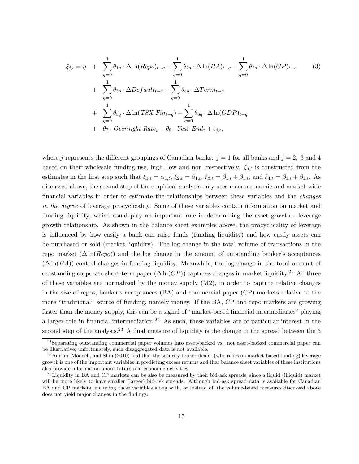$$
\xi_{j,t} = \eta + \sum_{q=0}^{1} \theta_{1q} \cdot \Delta \ln(Repo)_{t-q} + \sum_{q=0}^{1} \theta_{2q} \cdot \Delta \ln(BA)_{t-q} + \sum_{q=0}^{1} \theta_{2q} \cdot \Delta \ln(CP)_{t-q}
$$
(3)  
+ 
$$
\sum_{q=0}^{1} \theta_{3q} \cdot \Delta Default_{t-q} + \sum_{q=0}^{1} \theta_{4q} \cdot \Delta Term_{t-q}
$$
  
+ 
$$
\sum_{q=0}^{1} \theta_{5q} \cdot \Delta \ln(TSX \ Fin_{t-q}) + \sum_{q=0}^{1} \theta_{6q} \cdot \Delta \ln(GDP)_{t-q}
$$
  
+ 
$$
\theta_7 \cdot Overnight \ Rate_t + \theta_8 \cdot Year \ End_t + \epsilon_{j,t},
$$

where j represents the different groupings of Canadian banks:  $j = 1$  for all banks and  $j = 2$ , 3 and 4 based on their wholesale funding use, high, low and non, respectively.  $\xi_{j,t}$  is constructed from the estimates in the first step such that  $\xi_{1,t} = \alpha_{1,t}$ ,  $\xi_{2,t} = \beta_{1,t}$ ,  $\xi_{3,t} = \beta_{1,t} + \beta_{1,t}$ , and  $\xi_{4,t} = \beta_{1,t} + \beta_{1,t}$ . As discussed above, the second step of the empirical analysis only uses macroeconomic and market-wide financial variables in order to estimate the relationships between these variables and the changes in the degree of leverage procyclicality. Some of these variables contain information on market and funding liquidity, which could play an important role in determining the asset growth - leverage growth relationship. As shown in the balance sheet examples above, the procyclicality of leverage is influenced by how easily a bank can raise funds (funding liquidity) and how easily assets can be purchased or sold (market liquidity). The log change in the total volume of transactions in the repo market  $(\Delta \ln (Repo))$  and the log change in the amount of outstanding banker's acceptances  $(\Delta \ln(BA))$  control changes in funding liquidity. Meanwhile, the log change in the total amount of outstanding corporate short-term paper  $(\Delta \ln(CP))$  captures changes in market liquidity.<sup>21</sup> All three of these variables are normalized by the money supply  $(M2)$ , in order to capture relative changes in the size of repos, banker's acceptances (BA) and commercial paper (CP) markets relative to the more "traditional" source of funding, namely money. If the BA, CP and repo markets are growing faster than the money supply, this can be a signal of "market-based financial intermediaries" playing a larger role in financial intermediation.<sup>22</sup> As such, these variables are of particular interest in the second step of the analysis.<sup>23</sup> A final measure of liquidity is the change in the spread between the 3

 $^{21}$ Separating outstanding commercial paper volumes into asset-backed vs. not asset-backed commercial paper can be illustrative; unfortunately, such disaggregated data is not available.

 $^{22}$ Adrian, Moench, and Shin (2010) find that the security broker-dealer (who relies on market-based funding) leverage growth is one of the important variables in predicting excess returns and that balance sheet variables of these institutions also provide information about future real economic activities.

 $^{23}$ Liquidity in BA and CP markets can be also be measured by their bid-ask spreads, since a liquid (illiquid) market will be more likely to have smaller (larger) bid-ask spreads. Although bid-ask spread data is available for Canadian BA and CP markets, including these variables along with, or instead of, the volume-based measures discussed above does not yield major changes in the findings.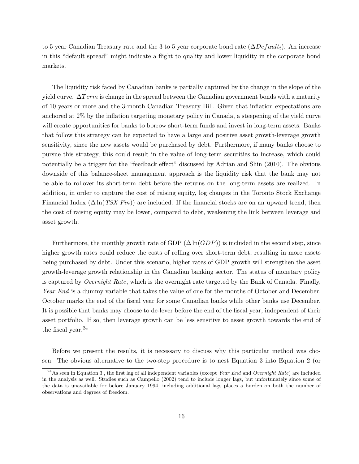to 5 year Canadian Treasury rate and the 3 to 5 year corporate bond rate  $(\Delta Default_t)$ . An increase in this "default spread" might indicate a flight to quality and lower liquidity in the corporate bond markets.

The liquidity risk faced by Canadian banks is partially captured by the change in the slope of the yield curve.  $\Delta Term$  is change in the spread between the Canadian government bonds with a maturity of 10 years or more and the 3-month Canadian Treasury Bill. Given that inflation expectations are anchored at 2% by the inflation targeting monetary policy in Canada, a steepening of the yield curve will create opportunities for banks to borrow short-term funds and invest in long-term assets. Banks that follow this strategy can be expected to have a large and positive asset growth-leverage growth sensitivity, since the new assets would be purchased by debt. Furthermore, if many banks choose to pursue this strategy, this could result in the value of long-term securities to increase, which could potentially be a trigger for the "feedback effect" discussed by Adrian and Shin (2010). The obvious downside of this balance-sheet management approach is the liquidity risk that the bank may not be able to rollover its short-term debt before the returns on the long-term assets are realized. In addition, in order to capture the cost of raising equity, log changes in the Toronto Stock Exchange Financial Index  $(\Delta \ln(TSX Fin))$  are included. If the financial stocks are on an upward trend, then the cost of raising equity may be lower, compared to debt, weakening the link between leverage and asset growth.

Furthermore, the monthly growth rate of GDP  $(\Delta \ln(GDP))$  is included in the second step, since higher growth rates could reduce the costs of rolling over short-term debt, resulting in more assets being purchased by debt. Under this scenario, higher rates of GDP growth will strengthen the asset growth-leverage growth relationship in the Canadian banking sector. The status of monetary policy is captured by Overnight Rate, which is the overnight rate targeted by the Bank of Canada. Finally, Year End is a dummy variable that takes the value of one for the months of October and December. October marks the end of the fiscal year for some Canadian banks while other banks use December. It is possible that banks may choose to de-lever before the end of the fiscal year, independent of their asset portfolio. If so, then leverage growth can be less sensitive to asset growth towards the end of the fiscal year.<sup>24</sup>

Before we present the results, it is necessary to discuss why this particular method was chosen. The obvious alternative to the two-step procedure is to nest Equation 3 into Equation 2 (or

 $^{24}$ As seen in Equation 3, the first lag of all independent variables (except Year End and Overnight Rate) are included in the analysis as well. Studies such as Campello (2002) tend to include longer lags, but unfortunately since some of the data is unavailable for before January 1994, including additional lags places a burden on both the number of observations and degrees of freedom.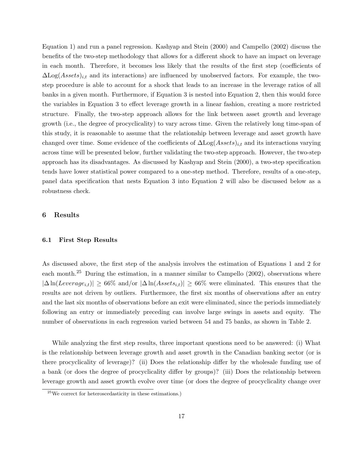Equation 1) and run a panel regression. Kashyap and Stein (2000) and Campello (2002) discuss the benefits of the two-step methodology that allows for a different shock to have an impact on leverage in each month. Therefore, it becomes less likely that the results of the first step (coefficients of  $\Delta\text{Log}(Assets)_{i,t}$  and its interactions) are influenced by unobserved factors. For example, the twostep procedure is able to account for a shock that leads to an increase in the leverage ratios of all banks in a given month. Furthermore, if Equation 3 is nested into Equation 2, then this would force the variables in Equation 3 to effect leverage growth in a linear fashion, creating a more restricted structure. Finally, the two-step approach allows for the link between asset growth and leverage growth (i.e., the degree of procyclicality) to vary across time. Given the relatively long time-span of this study, it is reasonable to assume that the relationship between leverage and asset growth have changed over time. Some evidence of the coefficients of  $\Delta\text{Log}(Assets)_{i,t}$  and its interactions varying across time will be presented below, further validating the two-step approach. However, the two-step approach has its disadvantages. As discussed by Kashyap and Stein (2000), a two-step specification tends have lower statistical power compared to a one-step method. Therefore, results of a one-step, panel data specification that nests Equation 3 into Equation 2 will also be discussed below as a robustness check.

#### 6 Results

#### 6.1 First Step Results

As discussed above, the first step of the analysis involves the estimation of Equations 1 and 2 for each month.<sup>25</sup> During the estimation, in a manner similar to Campello  $(2002)$ , observations where  $|\Delta \ln(Leverage_{i,t})| \geq 66\%$  and/or  $|\Delta \ln(Assets_{i,t})| \geq 66\%$  were eliminated. This ensures that the results are not driven by outliers. Furthermore, the first six months of observations after an entry and the last six months of observations before an exit were eliminated, since the periods immediately following an entry or immediately preceding can involve large swings in assets and equity. The number of observations in each regression varied between 54 and 75 banks, as shown in Table 2.

While analyzing the first step results, three important questions need to be answered: (i) What is the relationship between leverage growth and asset growth in the Canadian banking sector (or is there procyclicality of leverage)? (ii) Does the relationship differ by the wholesale funding use of a bank (or does the degree of procyclicality differ by groups)? (iii) Does the relationship between leverage growth and asset growth evolve over time (or does the degree of procyclicality change over

 $^{25}$ We correct for heteroscedasticity in these estimations.)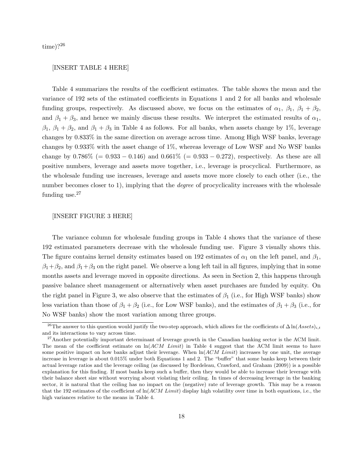time)?<sup>26</sup>

#### [INSERT TABLE 4 HERE]

Table 4 summarizes the results of the coefficient estimates. The table shows the mean and the variance of 192 sets of the estimated coefficients in Equations 1 and 2 for all banks and wholesale funding groups, respectively. As discussed above, we focus on the estimates of  $\alpha_1$ ,  $\beta_1$ ,  $\beta_1 + \beta_2$ , and  $\beta_1 + \beta_3$ , and hence we mainly discuss these results. We interpret the estimated results of  $\alpha_1$ ,  $\beta_1$ ,  $\beta_1 + \beta_2$ , and  $\beta_1 + \beta_3$  in Table 4 as follows. For all banks, when assets change by 1%, leverage changes by 0.833% in the same direction on average across time. Among High WSF banks, leverage changes by 0.933% with the asset change of 1%, whereas leverage of Low WSF and No WSF banks change by  $0.786\%$  (=  $0.933 - 0.146$ ) and  $0.661\%$  (=  $0.933 - 0.272$ ), respectively. As these are all positive numbers, leverage and assets move together, i.e., leverage is procyclical. Furthermore, as the wholesale funding use increases, leverage and assets move more closely to each other (i.e., the number becomes closer to 1), implying that the *degree* of procyclicality increases with the wholesale funding use.<sup>27</sup>

#### [INSERT FIGURE 3 HERE]

The variance column for wholesale funding groups in Table 4 shows that the variance of these 192 estimated parameters decrease with the wholesale funding use. Figure 3 visually shows this. The figure contains kernel density estimates based on 192 estimates of  $\alpha_1$  on the left panel, and  $\beta_1$ ,  $\beta_1+\beta_2$ , and  $\beta_1+\beta_3$  on the right panel. We observe a long left tail in all figures, implying that in some months assets and leverage moved in opposite directions. As seen in Section 2, this happens through passive balance sheet management or alternatively when asset purchases are funded by equity. On the right panel in Figure 3, we also observe that the estimates of  $\beta_1$  (i.e., for High WSF banks) show less variation than those of  $\beta_1 + \beta_2$  (i.e., for Low WSF banks), and the estimates of  $\beta_1 + \beta_3$  (i.e., for No WSF banks) show the most variation among three groups.

<sup>&</sup>lt;sup>26</sup>The answer to this question would justify the two-step approach, which allows for the coefficients of  $\Delta \ln(A \, \, s \, \, t \, t)$ and its interactions to vary across time.

<sup>&</sup>lt;sup>27</sup>Another potentially important determinant of leverage growth in the Canadian banking sector is the ACM limit. The mean of the coefficient estimate on  $\ln(ACM \text{ Limit})$  in Table 4 suggest that the ACM limit seems to have some positive impact on how banks adjust their leverage. When  $\ln(ACM \text{ Limit})$  increases by one unit, the average increase in leverage is about 0.015% under both Equations 1 and 2. The "buffer" that some banks keep between their actual leverage ratios and the leverage ceiling (as discussed by Bordeleau, Crawford, and Graham (2009)) is a possible explanation for this finding. If most banks keep such a buffer, then they would be able to increase their leverage with their balance sheet size without worrying about violating their ceiling. In times of decreasing leverage in the banking sector, it is natural that the ceiling has no impact on the (negative) rate of leverage growth. This may be a reason that the 192 estimates of the coefficient of  $\ln (ACM Limit)$  display high volatility over time in both equations, i.e., the high variances relative to the means in Table 4.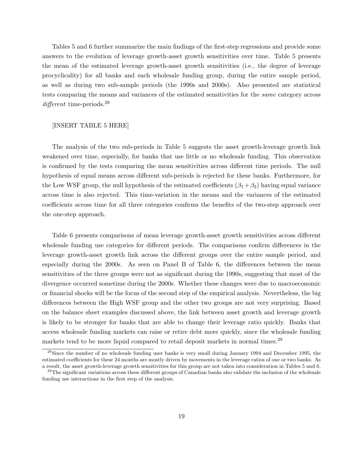Tables 5 and 6 further summarize the main findings of the first-step regressions and provide some answers to the evolution of leverage growth-asset growth sensitivities over time. Table 5 presents the mean of the estimated leverage growth-asset growth sensitivities (i.e., the degree of leverage procyclicality) for all banks and each wholesale funding group, during the entire sample period, as well as during two sub-sample periods (the 1990s and 2000s). Also presented are statistical tests comparing the means and variances of the estimated sensitivities for the same category across different time-periods.<sup>28</sup>

#### [INSERT TABLE 5 HERE]

The analysis of the two sub-periods in Table 5 suggests the asset growth-leverage growth link weakened over time, especially, for banks that use little or no wholesale funding. This observation is confirmed by the tests comparing the mean sensitivities across different time periods. The null hypothesis of equal means across different sub-periods is rejected for these banks. Furthermore, for the Low WSF group, the null hypothesis of the estimated coefficients  $(\beta_1 + \beta_2)$  having equal variance across time is also rejected. This time-variation in the means and the variances of the estimated coefficients across time for all three categories confirms the benefits of the two-step approach over the one-step approach.

Table 6 presents comparisons of mean leverage growth-asset growth sensitivities across different wholesale funding use categories for different periods. The comparisons confirm differences in the leverage growth-asset growth link across the different groups over the entire sample period, and especially during the 2000s. As seen on Panel B of Table 6, the differences between the mean sensitivities of the three groups were not as significant during the 1990s, suggesting that most of the divergence occurred sometime during the 2000s. Whether these changes were due to macroeconomic or financial shocks will be the focus of the second step of the empirical analysis. Nevertheless, the big differences between the High WSF group and the other two groups are not very surprising. Based on the balance sheet examples discussed above, the link between asset growth and leverage growth is likely to be stronger for banks that are able to change their leverage ratio quickly. Banks that access wholesale funding markets can raise or retire debt more quickly, since the wholesale funding markets tend to be more liquid compared to retail deposit markets in normal times.<sup>29</sup>

<sup>&</sup>lt;sup>28</sup>Since the number of no wholesale funding user banks is very small during January 1994 and December 1995, the estimated coefficients for these 24 months are mostly driven by movements in the leverage ratios of one or two banks. As a result, the asset growth-leverage growth sensitivities for this group are not taken into consideration in Tables 5 and 6.

<sup>&</sup>lt;sup>29</sup>The significant variations across these different groups of Canadian banks also validate the inclusion of the wholesale funding use interactions in the first step of the analysis.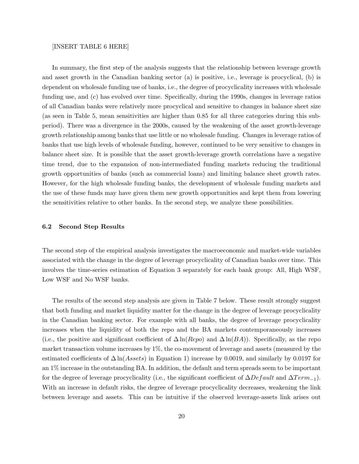#### [INSERT TABLE 6 HERE]

In summary, the first step of the analysis suggests that the relationship between leverage growth and asset growth in the Canadian banking sector (a) is positive, i.e., leverage is procyclical, (b) is dependent on wholesale funding use of banks, i.e., the degree of procyclicality increases with wholesale funding use, and (c) has evolved over time. Specifically, during the 1990s, changes in leverage ratios of all Canadian banks were relatively more procyclical and sensitive to changes in balance sheet size (as seen in Table 5, mean sensitivities are higher than 0.85 for all three categories during this subperiod). There was a divergence in the 2000s, caused by the weakening of the asset growth-leverage growth relationship among banks that use little or no wholesale funding. Changes in leverage ratios of banks that use high levels of wholesale funding, however, continued to be very sensitive to changes in balance sheet size. It is possible that the asset growth-leverage growth correlations have a negative time trend, due to the expansion of non-intermediated funding markets reducing the traditional growth opportunities of banks (such as commercial loans) and limiting balance sheet growth rates. However, for the high wholesale funding banks, the development of wholesale funding markets and the use of these funds may have given them new growth opportunities and kept them from lowering the sensitivities relative to other banks. In the second step, we analyze these possibilities.

#### 6.2 Second Step Results

The second step of the empirical analysis investigates the macroeconomic and market-wide variables associated with the change in the degree of leverage procyclicality of Canadian banks over time. This involves the time-series estimation of Equation 3 separately for each bank group: All, High WSF, Low WSF and No WSF banks.

The results of the second step analysis are given in Table 7 below. These result strongly suggest that both funding and market liquidity matter for the change in the degree of leverage procyclicality in the Canadian banking sector. For example with all banks, the degree of leverage procyclicality increases when the liquidity of both the repo and the BA markets contemporaneously increases (i.e., the positive and significant coefficient of  $\Delta \ln(Rep)$  and  $\Delta \ln(BA)$ ). Specifically, as the repo market transaction volume increases by 1%, the co-movement of leverage and assets (measured by the estimated coefficients of  $\Delta \ln (Assets)$  in Equation 1) increase by 0.0019, and similarly by 0.0197 for an 1% increase in the outstanding BA. In addition, the default and term spreads seem to be important for the degree of leverage procyclicality (i.e., the significant coefficient of  $\Delta Default$  and  $\Delta Term_{-1}$ ). With an increase in default risks, the degree of leverage procyclicality decreases, weakening the link between leverage and assets. This can be intuitive if the observed leverage-assets link arises out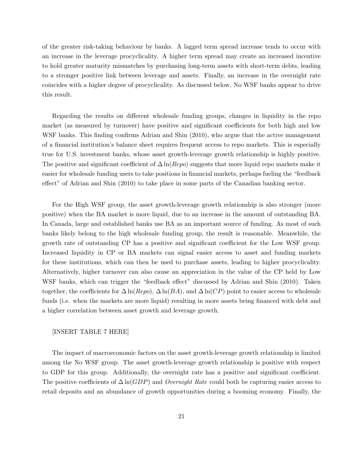of the greater risk-taking behaviour by banks. A lagged term spread increase tends to occur with an increase in the leverage procyclicality. A higher term spread may create an increased incentive to hold greater maturity mismatches by purchasing long-term assets with short-term debts, leading to a stronger positive link between leverage and assets. Finally, an increase in the overnight rate coincides with a higher degree of procyclicality. As discussed below, No WSF banks appear to drive this result.

Regarding the results on different wholesale funding groups, changes in liquidity in the repo market (as measured by turnover) have positive and significant coefficients for both high and low WSF banks. This finding confirms Adrian and Shin (2010), who argue that the active management of a financial institution's balance sheet requires frequent access to repo markets. This is especially true for U.S. investment banks, whose asset growth-leverage growth relationship is highly positive. The positive and significant coefficient of  $\Delta \ln (Repo)$  suggests that more liquid repo markets make it easier for wholesale funding users to take positions in financial markets, perhaps fueling the "feedback effect" of Adrian and Shin (2010) to take place in some parts of the Canadian banking sector.

For the High WSF group, the asset growth-leverage growth relationship is also stronger (more positive) when the BA market is more liquid, due to an increase in the amount of outstanding BA. In Canada, large and established banks use BA as an important source of funding. As most of such banks likely belong to the high wholesale funding group, the result is reasonable. Meanwhile, the growth rate of outstanding CP has a positive and significant coefficient for the Low WSF group. Increased liquidity in CP or BA markets can signal easier access to asset and funding markets for these institutions, which can then be used to purchase assets, leading to higher procyclicality. Alternatively, higher turnover can also cause an appreciation in the value of the CP held by Low WSF banks, which can trigger the "feedback effect" discussed by Adrian and Shin (2010). Taken together, the coefficients for  $\Delta \ln(Rep)$ ,  $\Delta \ln(BA)$ , and  $\Delta \ln(CP)$  point to easier access to wholesale funds (i.e. when the markets are more liquid) resulting in more assets being financed with debt and a higher correlation between asset growth and leverage growth.

#### [INSERT TABLE 7 HERE]

The impact of macroeconomic factors on the asset growth-leverage growth relationship is limited among the No WSF group. The asset growth-leverage growth relationship is positive with respect to GDP for this group. Additionally, the overnight rate has a positive and significant coefficient. The positive coefficients of  $\Delta \ln(GDP)$  and *Overnight Rate* could both be capturing easier access to retail deposits and an abundance of growth opportunities during a booming economy. Finally, the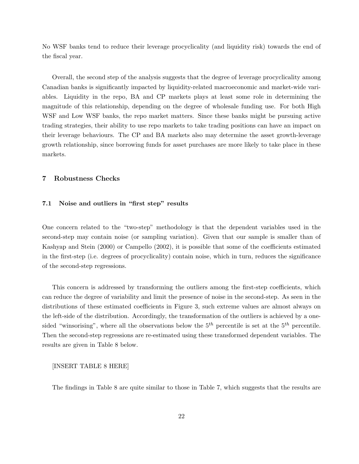No WSF banks tend to reduce their leverage procyclicality (and liquidity risk) towards the end of the fiscal year.

Overall, the second step of the analysis suggests that the degree of leverage procyclicality among Canadian banks is significantly impacted by liquidity-related macroeconomic and market-wide variables. Liquidity in the repo, BA and CP markets plays at least some role in determining the magnitude of this relationship, depending on the degree of wholesale funding use. For both High WSF and Low WSF banks, the repo market matters. Since these banks might be pursuing active trading strategies, their ability to use repo markets to take trading positions can have an impact on their leverage behaviours. The CP and BA markets also may determine the asset growth-leverage growth relationship, since borrowing funds for asset purchases are more likely to take place in these markets.

#### 7 Robustness Checks

#### 7.1 Noise and outliers in "first step" results

One concern related to the "two-step" methodology is that the dependent variables used in the second-step may contain noise (or sampling variation). Given that our sample is smaller than of Kashyap and Stein (2000) or Campello (2002), it is possible that some of the coefficients estimated in the first-step (i.e. degrees of procyclicality) contain noise, which in turn, reduces the significance of the second-step regressions.

This concern is addressed by transforming the outliers among the first-step coefficients, which can reduce the degree of variability and limit the presence of noise in the second-step. As seen in the distributions of these estimated coefficients in Figure 3, such extreme values are almost always on the left-side of the distribution. Accordingly, the transformation of the outliers is achieved by a onesided "winsorising", where all the observations below the  $5<sup>th</sup>$  percentile is set at the  $5<sup>th</sup>$  percentile. Then the second-step regressions are re-estimated using these transformed dependent variables. The results are given in Table 8 below.

#### [INSERT TABLE 8 HERE]

The findings in Table 8 are quite similar to those in Table 7, which suggests that the results are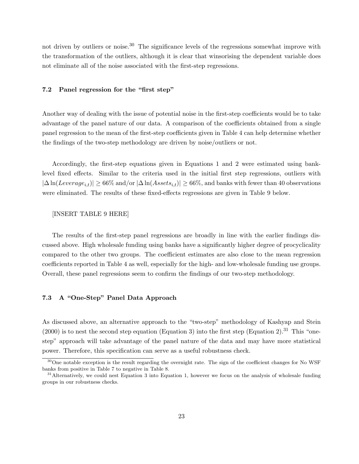not driven by outliers or noise.<sup>30</sup> The significance levels of the regressions somewhat improve with the transformation of the outliers, although it is clear that winsorising the dependent variable does not eliminate all of the noise associated with the first-step regressions.

#### 7.2 Panel regression for the "first step"

Another way of dealing with the issue of potential noise in the first-step coefficients would be to take advantage of the panel nature of our data. A comparison of the coefficients obtained from a single panel regression to the mean of the first-step coefficients given in Table 4 can help determine whether the findings of the two-step methodology are driven by noise/outliers or not.

Accordingly, the first-step equations given in Equations 1 and 2 were estimated using banklevel fixed effects. Similar to the criteria used in the initial first step regressions, outliers with  $|\Delta \ln(Leverage_{i,t})| \geq 66\%$  and/or  $|\Delta \ln(Assets_{i,t})| \geq 66\%$ , and banks with fewer than 40 observations were eliminated. The results of these fixed-effects regressions are given in Table 9 below.

#### [INSERT TABLE 9 HERE]

The results of the first-step panel regressions are broadly in line with the earlier findings discussed above. High wholesale funding using banks have a significantly higher degree of procyclicality compared to the other two groups. The coefficient estimates are also close to the mean regression coefficients reported in Table 4 as well, especially for the high- and low-wholesale funding use groups. Overall, these panel regressions seem to confirm the findings of our two-step methodology.

#### 7.3 A "One-Step" Panel Data Approach

As discussed above, an alternative approach to the "two-step" methodology of Kashyap and Stein  $(2000)$  is to nest the second step equation (Equation 3) into the first step (Equation 2).<sup>31</sup> This "onestep" approach will take advantage of the panel nature of the data and may have more statistical power. Therefore, this specification can serve as a useful robustness check.

 $30$ One notable exception is the result regarding the overnight rate. The sign of the coefficient changes for No WSF banks from positive in Table 7 to negative in Table 8.

<sup>&</sup>lt;sup>31</sup>Alternatively, we could nest Equation 3 into Equation 1, however we focus on the analysis of wholesale funding groups in our robustness checks.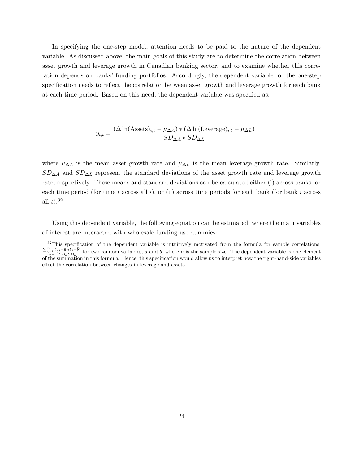In specifying the one-step model, attention needs to be paid to the nature of the dependent variable. As discussed above, the main goals of this study are to determine the correlation between asset growth and leverage growth in Canadian banking sector, and to examine whether this correlation depends on banks' funding portfolios. Accordingly, the dependent variable for the one-step specification needs to reflect the correlation between asset growth and leverage growth for each bank at each time period. Based on this need, the dependent variable was specified as:

$$
y_{i,t} = \frac{(\Delta \ln(\text{Assets})_{i,t} - \mu_{\Delta A}) * (\Delta \ln(\text{Leverage})_{i,t} - \mu_{\Delta L})}{SD_{\Delta A} * SD_{\Delta L}}
$$

where  $\mu_{\Delta A}$  is the mean asset growth rate and  $\mu_{\Delta L}$  is the mean leverage growth rate. Similarly,  $SD<sub>ΔA</sub>$  and  $SD<sub>ΔL</sub>$  represent the standard deviations of the asset growth rate and leverage growth rate, respectively. These means and standard deviations can be calculated either (i) across banks for each time period (for time t across all i), or (ii) across time periods for each bank (for bank i across all  $t$ ).<sup>32</sup>

Using this dependent variable, the following equation can be estimated, where the main variables of interest are interacted with wholesale funding use dummies:

 $32$ This specification of the dependent variable is intuitively motivated from the formula for sample correlations:  $\frac{\sum_{i=1}^{n} (a_i - \bar{a})(b_i - \bar{b})}{(n-1)SD_aSD_b}$  for two random variables, a and b, where n is the sample size. The dependent variable is one element of the summation in this formula. Hence, this specification would allow us to interpret how the right-hand-side variables effect the correlation between changes in leverage and assets.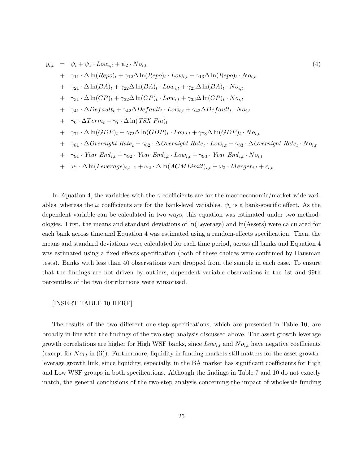$$
y_{i,t} = \psi_i + \psi_1 \cdot Low_{i,t} + \psi_2 \cdot No_{i,t}
$$
\n
$$
+ \gamma_{11} \cdot \Delta \ln(Repo)_t + \gamma_{12} \Delta \ln(Repo)_t \cdot Low_{i,t} + \gamma_{13} \Delta \ln(Repo)_t \cdot No_{i,t}
$$
\n
$$
+ \gamma_{21} \cdot \Delta \ln(BA)_t + \gamma_{22} \Delta \ln(BA)_t \cdot Low_{i,t} + \gamma_{23} \Delta \ln(BA)_t \cdot No_{i,t}
$$
\n
$$
+ \gamma_{31} \cdot \Delta \ln(CP)_t + \gamma_{32} \Delta \ln(CP)_t \cdot Low_{i,t} + \gamma_{33} \Delta \ln(CP)_t \cdot No_{i,t}
$$
\n
$$
+ \gamma_{41} \cdot \Delta Default_t + \gamma_{42} \Delta Default_t \cdot Low_{i,t} + \gamma_{43} \Delta Default_t \cdot No_{i,t}
$$
\n
$$
+ \gamma_6 \cdot \Delta Term_t + \gamma_7 \cdot \Delta \ln(TSX \text{ Fin})_t
$$
\n
$$
+ \gamma_{71} \cdot \Delta \ln(GDP)_t + \gamma_{72} \Delta \ln(GDP)_t \cdot Low_{i,t} + \gamma_{73} \Delta \ln(GDP)_t \cdot No_{i,t}
$$
\n
$$
+ \gamma_{81} \cdot \Delta Overnight \text{ Rate}_t + \gamma_{82} \cdot \Delta Overnight \text{ Rate}_t \cdot Low_{i,t} + \gamma_{83} \cdot \Delta Overnight \text{ Rate}_t \cdot No_{i,t}
$$
\n
$$
+ \gamma_{91} \cdot Year \text{ End}_{i,t} + \gamma_{92} \cdot Year \text{ End}_{i,t} \cdot Low_{i,t} + \gamma_{93} \cdot Year \text{ End}_{i,t} \cdot No_{i,t}
$$
\n
$$
+ \omega_1 \cdot \Delta \ln(Leverage)_{i,t-1} + \omega_2 \cdot \Delta \ln(ACMLimit)_{i,t} + \omega_3 \cdot Merge_{i,t} + \epsilon_{i,t}
$$
\n
$$
(4)
$$

In Equation 4, the variables with the  $\gamma$  coefficients are for the macroeconomic/market-wide variables, whereas the  $\omega$  coefficients are for the bank-level variables.  $\psi_i$  is a bank-specific effect. As the dependent variable can be calculated in two ways, this equation was estimated under two methodologies. First, the means and standard deviations of ln(Leverage) and ln(Assets) were calculated for each bank across time and Equation 4 was estimated using a random-effects specification. Then, the means and standard deviations were calculated for each time period, across all banks and Equation 4 was estimated using a fixed-effects specification (both of these choices were confirmed by Hausman tests). Banks with less than 40 observations were dropped from the sample in each case. To ensure that the findings are not driven by outliers, dependent variable observations in the 1st and 99th percentiles of the two distributions were winsorised.

#### [INSERT TABLE 10 HERE]

The results of the two different one-step specifications, which are presented in Table 10, are broadly in line with the findings of the two-step analysis discussed above. The asset growth-leverage growth correlations are higher for High WSF banks, since  $Low_{i,t}$  and  $No_{i,t}$  have negative coefficients (except for  $No_{i,t}$  in (ii)). Furthermore, liquidity in funding markets still matters for the asset growthleverage growth link, since liquidity, especially, in the BA market has significant coefficients for High and Low WSF groups in both specifications. Although the findings in Table 7 and 10 do not exactly match, the general conclusions of the two-step analysis concerning the impact of wholesale funding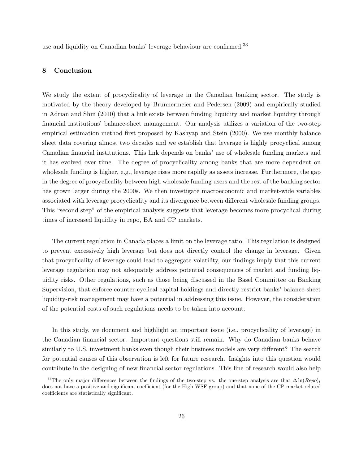use and liquidity on Canadian banks' leverage behaviour are confirmed.<sup>33</sup>

#### 8 Conclusion

We study the extent of procyclicality of leverage in the Canadian banking sector. The study is motivated by the theory developed by Brunnermeier and Pedersen (2009) and empirically studied in Adrian and Shin (2010) that a link exists between funding liquidity and market liquidity through financial institutions' balance-sheet management. Our analysis utilizes a variation of the two-step empirical estimation method first proposed by Kashyap and Stein (2000). We use monthly balance sheet data covering almost two decades and we establish that leverage is highly procyclical among Canadian financial institutions. This link depends on banks' use of wholesale funding markets and it has evolved over time. The degree of procyclicality among banks that are more dependent on wholesale funding is higher, e.g., leverage rises more rapidly as assets increase. Furthermore, the gap in the degree of procyclicality between high wholesale funding users and the rest of the banking sector has grown larger during the 2000s. We then investigate macroeconomic and market-wide variables associated with leverage procyclicality and its divergence between different wholesale funding groups. This "second step" of the empirical analysis suggests that leverage becomes more procyclical during times of increased liquidity in repo, BA and CP markets.

The current regulation in Canada places a limit on the leverage ratio. This regulation is designed to prevent excessively high leverage but does not directly control the change in leverage. Given that procyclicality of leverage could lead to aggregate volatility, our findings imply that this current leverage regulation may not adequately address potential consequences of market and funding liquidity risks. Other regulations, such as those being discussed in the Basel Committee on Banking Supervision, that enforce counter-cyclical capital holdings and directly restrict banks' balance-sheet liquidity-risk management may have a potential in addressing this issue. However, the consideration of the potential costs of such regulations needs to be taken into account.

In this study, we document and highlight an important issue (i.e., procyclicality of leverage) in the Canadian financial sector. Important questions still remain. Why do Canadian banks behave similarly to U.S. investment banks even though their business models are very different? The search for potential causes of this observation is left for future research. Insights into this question would contribute in the designing of new financial sector regulations. This line of research would also help

<sup>&</sup>lt;sup>33</sup>The only major differences between the findings of the two-step vs. the one-step analysis are that  $\Delta \ln (Repo)_t$ does not have a positive and significant coefficient (for the High WSF group) and that none of the CP market-related coefficients are statistically significant.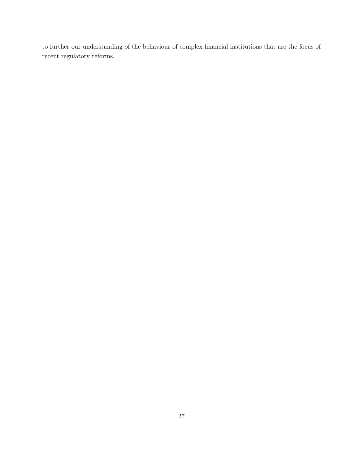to further our understanding of the behaviour of complex financial institutions that are the focus of recent regulatory reforms.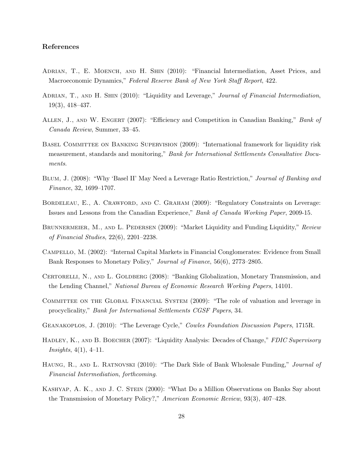#### References

- Adrian, T., E. Moench, and H. Shin (2010): "Financial Intermediation, Asset Prices, and Macroeconomic Dynamics," Federal Reserve Bank of New York Staff Report, 422.
- ADRIAN, T., AND H. SHIN (2010): "Liquidity and Leverage," Journal of Financial Intermediation, 19(3), 418–437.
- ALLEN, J., AND W. ENGERT (2007): "Efficiency and Competition in Canadian Banking," Bank of Canada Review, Summer, 33–45.
- BASEL COMMITTEE ON BANKING SUPERVISION (2009): "International framework for liquidity risk measurement, standards and monitoring," Bank for International Settlements Consultative Documents.
- Blum, J. (2008): "Why 'Basel II' May Need a Leverage Ratio Restriction," Journal of Banking and Finance, 32, 1699–1707.
- BORDELEAU, E., A. CRAWFORD, AND C. GRAHAM (2009): "Regulatory Constraints on Leverage: Issues and Lessons from the Canadian Experience," Bank of Canada Working Paper, 2009-15.
- BRUNNERMEIER, M., AND L. PEDERSEN (2009): "Market Liquidity and Funding Liquidity," Review of Financial Studies, 22(6), 2201–2238.
- Campello, M. (2002): "Internal Capital Markets in Financial Conglomerates: Evidence from Small Bank Responses to Monetary Policy," Journal of Finance, 56(6), 2773–2805.
- CERTORELLI, N., AND L. GOLDBERG (2008): "Banking Globalization, Monetary Transmission, and the Lending Channel," National Bureau of Economic Research Working Papers, 14101.
- COMMITTEE ON THE GLOBAL FINANCIAL SYSTEM (2009): "The role of valuation and leverage in procyclicality," Bank for International Settlements CGSF Papers, 34.
- Geanakoplos, J. (2010): "The Leverage Cycle," Cowles Foundation Discussion Papers, 1715R.
- HADLEY, K., AND B. BOECHER (2007): "Liquidity Analysis: Decades of Change," FDIC Supervisory  $Insights, 4(1), 4-11.$
- HAUNG, R., AND L. RATNOVSKI (2010): "The Dark Side of Bank Wholesale Funding," *Journal of* Financial Intermediation, forthcoming.
- KASHYAP, A. K., AND J. C. STEIN (2000): "What Do a Million Observations on Banks Say about the Transmission of Monetary Policy?," American Economic Review, 93(3), 407–428.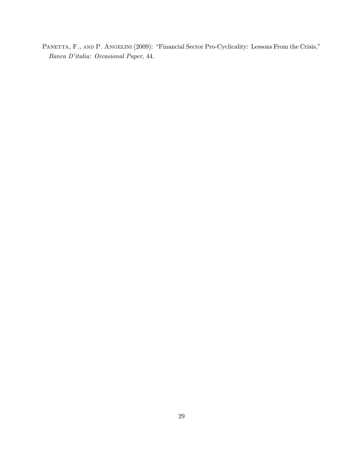PANETTA, F., AND P. ANGELINI (2009): "Financial Sector Pro-Cyclicality: Lessons From the Crisis," Banca D'italia: Occasional Paper, 44.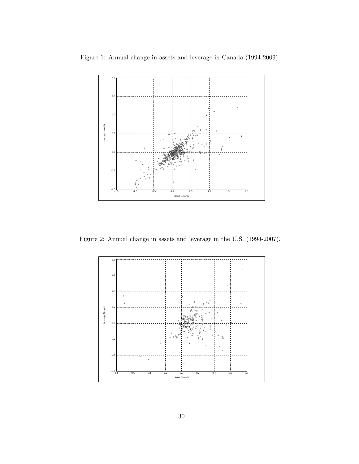

Figure 1: Annual change in assets and leverage in Canada (1994-2009).

Figure 2: Annual change in assets and leverage in the U.S. (1994-2007).

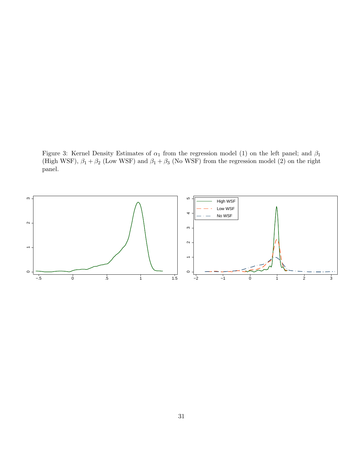Figure 3: Kernel Density Estimates of  $\alpha_1$  from the regression model (1) on the left panel; and  $\beta_1$ (High WSF),  $\beta_1 + \beta_2$  (Low WSF) and  $\beta_1 + \beta_3$  (No WSF) from the regression model (2) on the right panel.

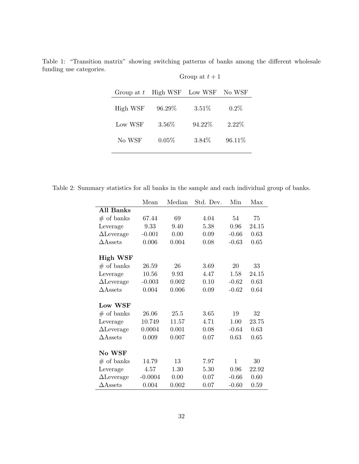| Group at $t$ | High WSF | Low WSF  | No WSF  |
|--------------|----------|----------|---------|
| High WSF     | 96.29%   | 3.51%    | $0.2\%$ |
| Low WSF      | 3.56%    | 94.22%   | 2.22%   |
| No WSF       | 0.05%    | $3.84\%$ | 96.11%  |

Table 1: "Transition matrix" showing switching patterns of banks among the different wholesale funding use categories.

Group at  $t+1$ 

Table 2: Summary statistics for all banks in the sample and each individual group of banks.

|                    | Mean      | Median | Std. Dev. | Min          | Max   |
|--------------------|-----------|--------|-----------|--------------|-------|
| <b>All Banks</b>   |           |        |           |              |       |
| $#$ of banks       | 67.44     | 69     | 4.04      | 54           | 75    |
| Leverage           | 9.33      | 9.40   | 5.38      | 0.96         | 24.15 |
| $\Delta$ Leverage  | $-0.001$  | 0.00   | 0.09      | $-0.66$      | 0.63  |
| $\triangle$ Assets | 0.006     | 0.004  | 0.08      | $-0.63$      | 0.65  |
|                    |           |        |           |              |       |
| <b>High WSF</b>    |           |        |           |              |       |
| $#$ of banks       | 26.59     | 26     | 3.69      | 20           | 33    |
| Leverage           | 10.56     | 9.93   | 4.47      | 1.58         | 24.15 |
| $\Delta$ Leverage  | $-0.003$  | 0.002  | 0.10      | $-0.62$      | 0.63  |
| $\triangle$ Assets | 0.004     | 0.006  | 0.09      | $-0.62$      | 0.64  |
|                    |           |        |           |              |       |
| Low WSF            |           |        |           |              |       |
| $#$ of banks       | 26.06     | 25.5   | 3.65      | 19           | 32    |
| Leverage           | 10.749    | 11.57  | 4.71      | 1.00         | 23.75 |
| $\Delta$ Leverage  | 0.0004    | 0.001  | 0.08      | $-0.64$      | 0.63  |
| $\triangle$ Assets | 0.009     | 0.007  | 0.07      | 0.63         | 0.65  |
|                    |           |        |           |              |       |
| No WSF             |           |        |           |              |       |
| $#$ of banks       | 14.79     | 13     | 7.97      | $\mathbf{1}$ | 30    |
| Leverage           | 4.57      | 1.30   | 5.30      | 0.96         | 22.92 |
| $\Delta$ Leverage  | $-0.0004$ | 0.00   | 0.07      | $-0.66$      | 0.60  |
| $\Delta$ Assets    | 0.004     | 0.002  | 0.07      | $-0.60$      | 0.59  |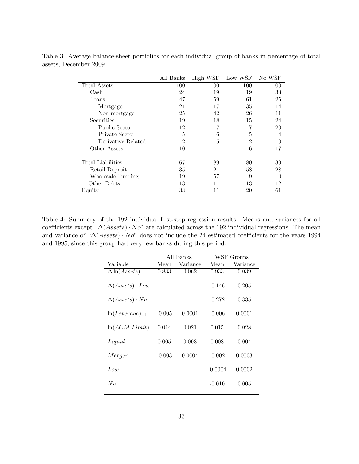|                    | All Banks      | High WSF       | Low WSF | No WSF   |
|--------------------|----------------|----------------|---------|----------|
| Total Assets       | 100            | 100            | 100     | 100      |
| Cash               | 24             | 19             | 19      | 33       |
| Loans              | 47             | 59             | 61      | 25       |
| Mortgage           | 21             | 17             | 35      | 14       |
| Non-mortgage       | 25             | 42             | 26      | 11       |
| Securities         | 19             | 18             | 15      | 24       |
| Public Sector      | 12             | 7              | 7       | 20       |
| Private Sector     | 5              | 6              | 5       | 4        |
| Derivative Related | $\overline{2}$ | 5              | 2       | $\theta$ |
| Other Assets       | 10             | $\overline{4}$ | 6       | 17       |
| Total Liabilities  | 67             | 89             | 80      | 39       |
| Retail Deposit     | 35             | 21             | 58      | 28       |
| Wholesale Funding  | 19             | 57             | 9       | $\Omega$ |
| Other Debts        | 13             | 11             | 13      | 12       |
| Equity             | 33             | 11             | 20      | 61       |

Table 3: Average balance-sheet portfolios for each individual group of banks in percentage of total assets, December 2009.

Table 4: Summary of the 192 individual first-step regression results. Means and variances for all coefficients except " $\Delta(A \text{ssets}) \cdot No$ " are calculated across the 192 individual regressions. The mean and variance of "∆(Assets) · No" does not include the 24 estimated coefficients for the years 1994 and 1995, since this group had very few banks during this period.

|                              |          | All Banks |           | WSF Groups |
|------------------------------|----------|-----------|-----------|------------|
| Variable                     | Mean     | Variance  | Mean      | Variance   |
| $\Delta \ln(A \text{ssets})$ | 0.833    | 0.062     | 0.933     | 0.039      |
| $\Delta(Assets) \cdot Low$   |          |           | $-0.146$  | 0.205      |
| $\Delta(Assets) \cdot No$    |          |           | $-0.272$  | 0.335      |
| $ln(Leverage)_{-1}$          | $-0.005$ | 0.0001    | $-0.006$  | 0.0001     |
| ln(ACM Limit)                | 0.014    | 0.021     | 0.015     | 0.028      |
| Liquid                       | 0.005    | 0.003     | 0.008     | 0.004      |
| Merger                       | $-0.003$ | 0.0004    | $-0.002$  | 0.0003     |
| Low                          |          |           | $-0.0004$ | 0.0002     |
| No                           |          |           | $-0.010$  | 0.005      |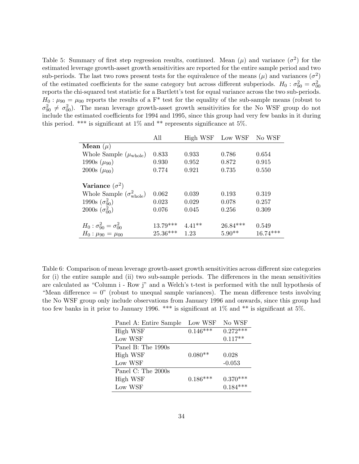Table 5: Summary of first step regression results, continued. Mean  $(\mu)$  and variance  $(\sigma^2)$  for the estimated leverage growth-asset growth sensitivities are reported for the entire sample period and two sub-periods. The last two rows present tests for the equivalence of the means  $(\mu)$  and variances  $(\sigma^2)$ of the estimated coefficients for the same category but across different subperiods.  $H_0$ :  $\sigma_{90}^2 = \sigma_{00}^2$ reports the chi-squared test statistic for a Bartlett's test for equal variance across the two sub-periods.  $H_0: \mu_{90} = \mu_{00}$  reports the results of a F<sup>\*</sup> test for the equality of the sub-sample means (robust to  $\sigma_{90}^2 \neq \sigma_{90}^2$ ). The mean leverage growth-asset growth sensitivities for the No WSF group do not include the estimated coefficients for 1994 and 1995, since this group had very few banks in it during this period. \*\*\* is significant at 1% and \*\* represents significance at 5%.

|                                          | All        | High WSF | Low WSF    | No WSF     |
|------------------------------------------|------------|----------|------------|------------|
| Mean $(\mu)$                             |            |          |            |            |
| Whole Sample $(\mu_{\text{whole}})$      | 0.833      | 0.933    | 0.786      | 0.654      |
| 1990s $(\mu_{90})$                       | 0.930      | 0.952    | 0.872      | 0.915      |
| 2000s $(\mu_{00})$                       | 0.774      | 0.921    | 0.735      | 0.550      |
| Variance $(\sigma^2)$                    |            |          |            |            |
| Whole Sample $(\sigma_{\text{whole}}^2)$ | 0.062      | 0.039    | 0.193      | 0.319      |
| 1990s $(\sigma_{90}^2)$                  | 0.023      | 0.029    | 0.078      | 0.257      |
| 2000s $(\sigma_{00}^2)$                  | 0.076      | 0.045    | 0.256      | 0.309      |
| $H_0: \sigma_{90}^2 = \sigma_{00}^2$     | $13.79***$ | $4.41**$ | $26.84***$ | 0.549      |
| $H_0: \mu_{90} = \mu_{00}$               | $25.36***$ | 1.23     | $5.90**$   | $16.74***$ |

Table 6: Comparison of mean leverage growth-asset growth sensitivities across different size categories for (i) the entire sample and (ii) two sub-sample periods. The differences in the mean sensitivities are calculated as "Column i - Row j" and a Welch's t-test is performed with the null hypothesis of "Mean difference  $= 0$ " (robust to unequal sample variances). The mean difference tests involving the No WSF group only include observations from January 1996 and onwards, since this group had too few banks in it prior to January 1996. \*\*\* is significant at 1% and \*\* is significant at 5%.

| Panel A: Entire Sample | Low WSF    | No WSF     |
|------------------------|------------|------------|
| High WSF               | $0.146***$ | $0.272***$ |
| Low WSF                |            | $0.117**$  |
| Panel B: The $1990s$   |            |            |
| High WSF               | $0.080**$  | 0.028      |
| Low WSF                |            | $-0.053$   |
| Panel C: The 2000s     |            |            |
| High WSF               | $0.186***$ | $0.370***$ |
| Low WSF                |            | $0.184***$ |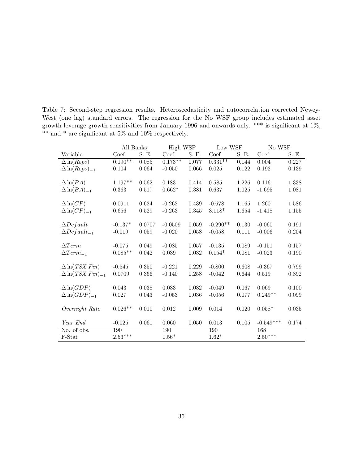|                                             | All Banks |             | High WSF  |             | Low WSF     |       | No WSF      |       |
|---------------------------------------------|-----------|-------------|-----------|-------------|-------------|-------|-------------|-------|
| Variable                                    | Coef      | S. E.       | Coef      | S. E.       | Coef        | S. E. | Coef        | S. E. |
| $\Delta \ln (Repo)$                         | $0.190**$ | $\,0.085\,$ | $0.173**$ | 0.077       | $0.331**$   | 0.144 | 0.004       | 0.227 |
| $\Delta \ln (Repo)_{-1}$                    | 0.104     | 0.064       | $-0.050$  | $0.066\,$   | $\,0.025\,$ | 0.122 | 0.192       | 0.139 |
|                                             |           |             |           |             |             |       |             |       |
| $\Delta \ln(BA)$                            | $1.197**$ | 0.562       | 0.183     | 0.414       | 0.585       | 1.226 | 0.116       | 1.338 |
| $\Delta \ln(BA)_{-1}$                       | 0.363     | 0.517       | $0.662*$  | 0.381       | 0.637       | 1.025 | $-1.695$    | 1.081 |
|                                             |           |             |           |             |             |       |             |       |
| $\Delta \ln(CP)$                            | 0.0911    | 0.624       | $-0.262$  | 0.439       | $-0.678$    | 1.165 | 1.260       | 1.586 |
| $\Delta \ln(CP)_{-1}$                       | $0.656\,$ | 0.529       | $-0.263$  | $0.345\,$   | $3.118*$    | 1.654 | $-1.418$    | 1.155 |
|                                             |           |             |           |             |             |       |             |       |
| $\Delta$ Default                            | $-0.137*$ | 0.0707      | $-0.0509$ | 0.059       | $-0.290**$  | 0.130 | $-0.060$    | 0.191 |
| $\Delta Default_{-1}$                       | $-0.019$  | 0.059       | $-0.020$  | 0.058       | $-0.058$    | 0.111 | $-0.006$    | 0.204 |
|                                             |           |             |           |             |             |       |             |       |
| $\Delta Term$                               | $-0.075$  | 0.049       | $-0.085$  | 0.057       | $-0.135$    | 0.089 | $-0.151$    | 0.157 |
| $\Delta Term_{-1}$                          | $0.085**$ | 0.042       | 0.039     | 0.032       | $0.154*$    | 0.081 | $-0.023$    | 0.190 |
|                                             |           |             |           |             |             |       |             |       |
| $\Delta$ ln(TSX Fin)                        | $-0.545$  | 0.350       | $-0.221$  | 0.229       | $-0.800$    | 0.608 | $-0.367$    | 0.799 |
| $\Delta$ ln( <i>TSX Fin</i> ) <sub>-1</sub> | 0.0709    | 0.366       | $-0.140$  | 0.258       | $-0.042$    | 0.644 | 0.519       | 0.892 |
|                                             |           |             |           |             |             |       |             |       |
| $\Delta \ln(GDP)$                           | 0.043     | 0.038       | 0.033     | 0.032       | $-0.049$    | 0.067 | 0.069       | 0.100 |
| $\Delta \ln(GDP)_{-1}$                      | 0.027     | 0.043       | $-0.053$  | $\,0.036\,$ | $-0.056$    | 0.077 | $0.249**$   | 0.099 |
|                                             |           |             |           |             |             |       |             |       |
| Overnight Rate                              | $0.026**$ | 0.010       | 0.012     | $0.009\,$   | 0.014       | 0.020 | $0.058*$    | 0.035 |
|                                             |           |             |           |             |             |       |             |       |
| Year End                                    | $-0.025$  | 0.061       | 0.060     | $0.050\,$   | 0.013       | 0.105 | $-0.549***$ | 0.174 |
| No. of obs.                                 | 190       |             | 190       |             | 190         |       | 168         |       |
| F-Stat                                      | $2.53***$ |             | $1.56*$   |             | $1.62*$     |       | $2.50***$   |       |
|                                             |           |             |           |             |             |       |             |       |

Table 7: Second-step regression results. Heteroscedasticity and autocorrelation corrected Newey-West (one lag) standard errors. The regression for the No WSF group includes estimated asset growth-leverage growth sensitivities from January 1996 and onwards only. \*\*\* is significant at 1%, \*\* and \* are significant at 5% and 10% respectively.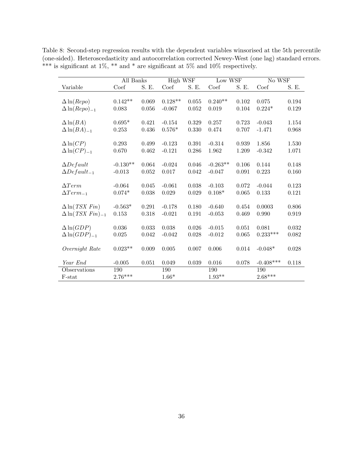|                                    | All Banks  |       | <b>High WSF</b> |       | Low WSF    |       | No WSF      |       |
|------------------------------------|------------|-------|-----------------|-------|------------|-------|-------------|-------|
| Variable                           | Coef       | S. E. | Coef            | S. E. | Coef       | S. E. | Coef        | S. E. |
|                                    |            |       |                 |       |            |       |             |       |
| $\Delta \ln (Repo)$                | $0.142**$  | 0.069 | $0.128**$       | 0.055 | $0.240**$  | 0.102 | 0.075       | 0.194 |
| $\Delta \ln (Repo)_{-1}$           | 0.083      | 0.056 | $-0.067$        | 0.052 | 0.019      | 0.104 | $0.224*$    | 0.129 |
|                                    |            |       |                 |       |            |       |             |       |
| $\Delta \ln(BA)$                   | $0.695*$   | 0.421 | $-0.154$        | 0.329 | 0.257      | 0.723 | $-0.043$    | 1.154 |
| $\Delta \ln(BA)_{-1}$              | 0.253      | 0.436 | $0.576*$        | 0.330 | 0.474      | 0.707 | $-1.471$    | 0.968 |
|                                    |            |       |                 |       |            |       |             |       |
| $\Delta \ln(CP)$                   | 0.293      | 0.499 | $-0.123$        | 0.391 | $-0.314$   | 0.939 | 1.856       | 1.530 |
| $\Delta \ln(CP)_{-1}$              | 0.670      | 0.462 | $-0.121$        | 0.286 | 1.962      | 1.209 | $-0.342$    | 1.071 |
|                                    |            |       |                 |       |            |       |             |       |
| $\Delta Default$                   | $-0.130**$ | 0.064 | $-0.024$        | 0.046 | $-0.263**$ | 0.106 | 0.144       | 0.148 |
| $\Delta Default_{-1}$              | $-0.013$   | 0.052 | 0.017           | 0.042 | $-0.047$   | 0.091 | 0.223       | 0.160 |
|                                    |            |       |                 |       |            |       |             |       |
| $\Delta Term$                      | $-0.064$   | 0.045 | $-0.061$        | 0.038 | $-0.103$   | 0.072 | $-0.044$    | 0.123 |
| $\Delta Term_{-1}$                 | $0.074*$   | 0.038 | 0.029           | 0.029 | $0.108*$   | 0.065 | 0.133       | 0.121 |
| $\Delta$ ln(TSX Fin)               | $-0.563*$  | 0.291 | $-0.178$        | 0.180 | $-0.640$   | 0.454 | 0.0003      | 0.806 |
| $\Delta$ ln(TSX Fin) <sub>-1</sub> | 0.153      | 0.318 | $-0.021$        | 0.191 | $-0.053$   | 0.469 | 0.990       | 0.919 |
|                                    |            |       |                 |       |            |       |             |       |
| $\Delta \ln(GDP)$                  | 0.036      | 0.033 | 0.038           | 0.026 | $-0.015$   | 0.051 | 0.081       | 0.032 |
| $\Delta \ln(GDP)_{-1}$             | 0.025      | 0.042 | $-0.042$        | 0.028 | $-0.012$   | 0.065 | $0.233***$  | 0.082 |
|                                    |            |       |                 |       |            |       |             |       |
| Overnight Rate                     | $0.023**$  | 0.009 | 0.005           | 0.007 | 0.006      | 0.014 | $-0.048*$   | 0.028 |
|                                    |            |       |                 |       |            |       |             |       |
| Year End                           | $-0.005$   | 0.051 | 0.049           | 0.039 | $0.016\,$  | 0.078 | $-0.408***$ | 0.118 |
| Observations                       | 190        |       | 190             |       | 190        |       | 190         |       |
| F-stat                             | $2.76***$  |       | $1.66*$         |       | $1.93**$   |       | $2.68***$   |       |

Table 8: Second-step regression results with the dependent variables winsorised at the 5th percentile (one-sided). Heteroscedasticity and autocorrelation corrected Newey-West (one lag) standard errors. \*\*\* is significant at 1%, \*\* and \* are significant at 5% and 10% respectively.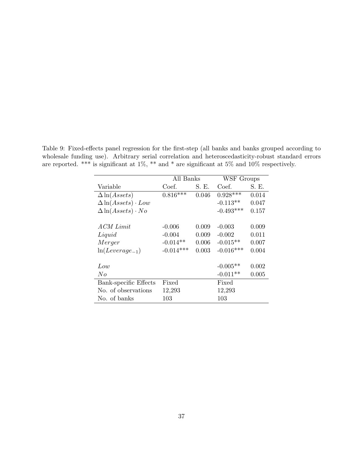Table 9: Fixed-effects panel regression for the first-step (all banks and banks grouped according to wholesale funding use). Arbitrary serial correlation and heteroscedasticity-robust standard errors are reported. \*\*\* is significant at 1%, \*\* and \* are significant at 5% and 10% respectively.

|                                           |             | All Banks |             | WSF Groups |
|-------------------------------------------|-------------|-----------|-------------|------------|
| Variable                                  | Coef.       | S. E.     | Coef.       | S. E.      |
| $\Delta \ln(A \, \text{s} \, \text{ets})$ | $0.816***$  | 0.046     | $0.928***$  | 0.014      |
| $\Delta \ln(A \text{ssets}) \cdot Low$    |             |           | $-0.113**$  | 0.047      |
| $\Delta \ln(Assets) \cdot No$             |             |           | $-0.493***$ | 0.157      |
|                                           |             |           |             |            |
| ACM Limit                                 | $-0.006$    | 0.009     | $-0.003$    | 0.009      |
| Liquid                                    | $-0.004$    | 0.009     | $-0.002$    | 0.011      |
| Merger                                    | $-0.014**$  | 0.006     | $-0.015**$  | 0.007      |
| $ln(Leverage_{-1})$                       | $-0.014***$ | 0.003     | $-0.016***$ | 0.004      |
|                                           |             |           |             |            |
| Low                                       |             |           | $-0.005**$  | 0.002      |
| No                                        |             |           | $-0.011**$  | 0.005      |
| Bank-specific Effects                     | Fixed       |           | Fixed       |            |
| No. of observations                       | 12,293      |           | 12,293      |            |
| No. of banks                              | 103         |           | 103         |            |
|                                           |             |           |             |            |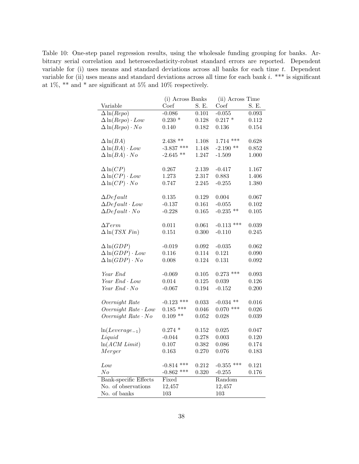Table 10: One-step panel regression results, using the wholesale funding grouping for banks. Arbitrary serial correlation and heteroscedasticity-robust standard errors are reported. Dependent variable for (i) uses means and standard deviations across all banks for each time  $t$ . Dependent variable for (ii) uses means and standard deviations across all time for each bank  $i.$  \*\*\* is significant at 1%, \*\* and \* are significant at 5% and 10% respectively.

|                               | (i) Across Banks  |           | (ii) Across Time           |       |
|-------------------------------|-------------------|-----------|----------------------------|-------|
| Variable                      | Coef              | S. E.     | Coef                       | S. E. |
| $\Delta \ln (Repo)$           | $-0.086$          | 0.101     | $-0.055$                   | 0.093 |
| $\Delta \ln (Repo) \cdot Low$ | $0.230$ $^{\ast}$ | 0.128     | $0.217 *$                  | 0.112 |
| $\Delta \ln(Repo) \cdot No$   | 0.140             | 0.182     | 0.136                      | 0.154 |
|                               |                   |           |                            |       |
| $\Delta \ln(BA)$              | $2.438$ **        | 1.108     | $1.714$ ***                | 0.628 |
| $\Delta \ln(BA) \cdot Low$    | $-3.837$ ***      | 1.148     | $-2.190$ **                | 0.852 |
| $\Delta \ln(BA) \cdot No$     | $-2.645$ **       | 1.247     | $-1.509$                   | 1.000 |
| $\Delta \ln(CP)$              | 0.267             | 2.139     | $-0.417$                   | 1.167 |
| $\Delta \ln(CP) \cdot Low$    | 1.273             | 2.317     | 0.883                      | 1.406 |
| $\Delta \ln(CP) \cdot No$     | 0.747             | 2.245     | $-0.255$                   | 1.380 |
|                               |                   |           |                            |       |
| $\Delta$ Default              | 0.135             | 0.129     | 0.004                      | 0.067 |
| $\Delta Default \cdot Low$    | $-0.137$          | 0.161     | $-0.055$                   | 0.102 |
| $\Delta Default \cdot No$     | $-0.228$          | 0.165     | $-0.235$ **                | 0.105 |
|                               |                   |           |                            |       |
| $\Delta Term$                 | 0.011             | 0.061     | $-0.113$ ***               | 0.039 |
| $\Delta$ ln(TSX Fin)          | 0.151             | 0.300     | $-0.110$                   | 0.245 |
| $\Delta \ln(GDP)$             | $-0.019$          | 0.092     | $-0.035$                   | 0.062 |
| $\Delta \ln(GDP) \cdot Low$   | 0.116             | 0.114     | 0.121                      | 0.090 |
| $\Delta \ln(GDP) \cdot No$    | 0.008             | 0.124     | 0.131                      | 0.092 |
|                               |                   |           |                            |       |
| Year End                      | $-0.069$          | $0.105\,$ | $0.273$ ***                | 0.093 |
| Year End . Low                | 0.014             | $0.125\,$ | 0.039                      | 0.126 |
| Year $End \cdot No$           | $-0.067$          | 0.194     | $-0.152$                   | 0.200 |
|                               |                   |           |                            |       |
| Overnight Rate                | $-0.123$ ***      | 0.033     | $-0.034$ **<br>$0.070$ *** | 0.016 |
| $Overnight$ $Rate \cdot Low$  | $0.185$ ***       | 0.046     |                            | 0.026 |
| Overnight $Rate \cdot No$     | $0.109$ **        | 0.052     | 0.028                      | 0.039 |
| $ln(Leverage_{-1})$           | $0.274$ *         | 0.152     | $\,0.025\,$                | 0.047 |
| Liquid                        | $-0.044$          | 0.278     | 0.003                      | 0.120 |
| $ln(ACM \; Limit)$            | $0.107\,$         | 0.382     | 0.086                      | 0.174 |
| Merger                        | 0.163             | 0.270     | 0.076                      | 0.183 |
|                               |                   |           |                            |       |
| Low                           | $-0.814$ ***      | 0.212     | $-0.355$ ***               | 0.121 |
| No                            | $-0.862$ ***      | 0.320     | $-0.255$                   | 0.176 |
| Bank-specific Effects         | Fixed             |           | Random                     |       |
| No. of observations           | 12,457            |           | 12,457                     |       |
| No. of banks                  | 103               |           | 103                        |       |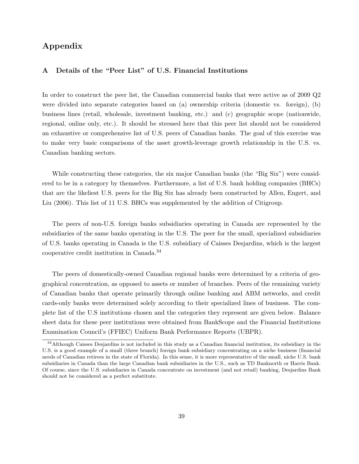### Appendix

#### A Details of the "Peer List" of U.S. Financial Institutions

In order to construct the peer list, the Canadian commercial banks that were active as of 2009 Q2 were divided into separate categories based on (a) ownership criteria (domestic vs. foreign), (b) business lines (retail, wholesale, investment banking, etc.) and (c) geographic scope (nationwide, regional, online only, etc.). It should be stressed here that this peer list should not be considered an exhaustive or comprehensive list of U.S. peers of Canadian banks. The goal of this exercise was to make very basic comparisons of the asset growth-leverage growth relationship in the U.S. vs. Canadian banking sectors.

While constructing these categories, the six major Canadian banks (the "Big Six") were considered to be in a category by themselves. Furthermore, a list of U.S. bank holding companies (BHCs) that are the likeliest U.S. peers for the Big Six has already been constructed by Allen, Engert, and Liu (2006). This list of 11 U.S. BHCs was supplemented by the addition of Citigroup.

The peers of non-U.S. foreign banks subsidiaries operating in Canada are represented by the subsidiaries of the same banks operating in the U.S. The peer for the small, specialized subsidiaries of U.S. banks operating in Canada is the U.S. subsidiary of Caisses Desjardins, which is the largest cooperative credit institution in Canada.<sup>34</sup>

The peers of domestically-owned Canadian regional banks were determined by a criteria of geographical concentration, as opposed to assets or number of branches. Peers of the remaining variety of Canadian banks that operate primarily through online banking and ABM networks, and credit cards-only banks were determined solely according to their specialized lines of business. The complete list of the U.S institutions chosen and the categories they represent are given below. Balance sheet data for these peer institutions were obtained from BankScope and the Financial Institutions Examination Council's (FFIEC) Uniform Bank Performance Reports (UBPR).

<sup>&</sup>lt;sup>34</sup>Although Caisses Desjardins is not included in this study as a Canadian financial institution, its subsidiary in the U.S. is a good example of a small (three branch) foreign bank subsidiary concentrating on a niche business (financial needs of Canadian retirees in the state of Florida). In this sense, it is more representative of the small, niche U.S. bank subsidiaries in Canada than the large Canadian bank subsidiaries in the U.S., such as TD Banknorth or Harris Bank. Of course, since the U.S. subsidiaries in Canada concentrate on investment (and not retail) banking, Desjardins Bank should not be considered as a perfect substitute.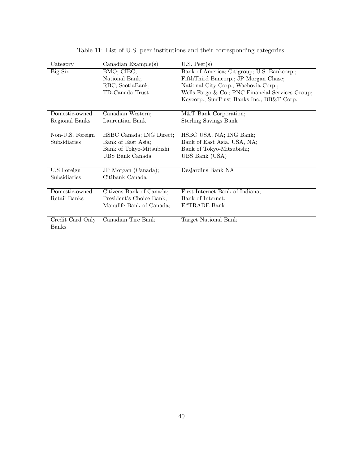| Category         | Canadian Example $(s)$   | $U.S.$ Peer(s)                                     |
|------------------|--------------------------|----------------------------------------------------|
| Big Six          | BMO; CIBC;               | Bank of America; Citigroup; U.S. Bankcorp.;        |
|                  | National Bank;           | FifthThird Bancorp.; JP Morgan Chase;              |
|                  | RBC; ScotiaBank;         | National City Corp.; Wachovia Corp.;               |
|                  | TD-Canada Trust          | Wells Fargo $& Co.; PNC$ Financial Services Group; |
|                  |                          | Keycorp.; SunTrust Banks Inc.; BB&T Corp.          |
|                  |                          |                                                    |
| Domestic-owned   | Canadian Western;        | M&T Bank Corporation;                              |
| Regional Banks   | Laurentian Bank          | Sterling Savings Bank                              |
|                  |                          |                                                    |
| Non-U.S. Foreign | HSBC Canada; ING Direct; | HSBC USA, NA; ING Bank;                            |
| Subsidiaries     | Bank of East Asia;       | Bank of East Asia, USA, NA;                        |
|                  | Bank of Tokyo-Mitsubishi | Bank of Tokyo-Mitsubishi;                          |
|                  | UBS Bank Canada          | UBS Bank (USA)                                     |
|                  |                          |                                                    |
| U.S Foreign      | JP Morgan (Canada);      | Desjardins Bank NA                                 |
| Subsidiaries     | Citibank Canada          |                                                    |
|                  |                          |                                                    |
| Domestic-owned   | Citizens Bank of Canada; | First Internet Bank of Indiana;                    |
| Retail Banks     | President's Choice Bank; | Bank of Internet;                                  |
|                  | Manulife Bank of Canada; | E*TRADE Bank                                       |
|                  |                          |                                                    |
| Credit Card Only | Canadian Tire Bank       | Target National Bank                               |
| <b>Banks</b>     |                          |                                                    |

Table 11: List of U.S. peer institutions and their corresponding categories.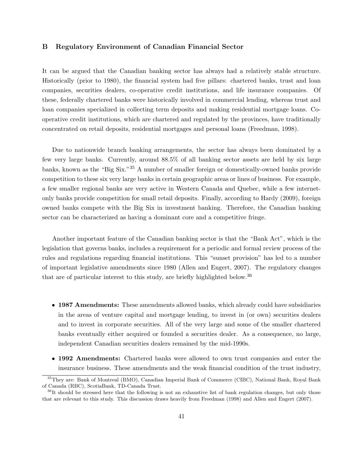#### B Regulatory Environment of Canadian Financial Sector

It can be argued that the Canadian banking sector has always had a relatively stable structure. Historically (prior to 1980), the financial system had five pillars: chartered banks, trust and loan companies, securities dealers, co-operative credit institutions, and life insurance companies. Of these, federally chartered banks were historically involved in commercial lending, whereas trust and loan companies specialized in collecting term deposits and making residential mortgage loans. Cooperative credit institutions, which are chartered and regulated by the provinces, have traditionally concentrated on retail deposits, residential mortgages and personal loans (Freedman, 1998).

Due to nationwide branch banking arrangements, the sector has always been dominated by a few very large banks. Currently, around 88.5% of all banking sector assets are held by six large banks, known as the "Big Six."<sup>35</sup> A number of smaller foreign or domestically-owned banks provide competition to these six very large banks in certain geographic areas or lines of business. For example, a few smaller regional banks are very active in Western Canada and Quebec, while a few internetonly banks provide competition for small retail deposits. Finally, according to Hardy (2009), foreign owned banks compete with the Big Six in investment banking. Therefore, the Canadian banking sector can be characterized as having a dominant core and a competitive fringe.

Another important feature of the Canadian banking sector is that the "Bank Act", which is the legislation that governs banks, includes a requirement for a periodic and formal review process of the rules and regulations regarding financial institutions. This "sunset provision" has led to a number of important legislative amendments since 1980 (Allen and Engert, 2007). The regulatory changes that are of particular interest to this study, are briefly highlighted below.<sup>36</sup>

- 1987 Amendments: These amendments allowed banks, which already could have subsidiaries in the areas of venture capital and mortgage lending, to invest in (or own) securities dealers and to invest in corporate securities. All of the very large and some of the smaller chartered banks eventually either acquired or founded a securities dealer. As a consequence, no large, independent Canadian securities dealers remained by the mid-1990s.
- 1992 Amendments: Chartered banks were allowed to own trust companies and enter the insurance business. These amendments and the weak financial condition of the trust industry,

<sup>35</sup>They are: Bank of Montreal (BMO), Canadian Imperial Bank of Commerce (CIBC), National Bank, Royal Bank of Canada (RBC), ScotiaBank, TD-Canada Trust.

 $36$ It should be stressed here that the following is not an exhaustive list of bank regulation changes, but only those that are relevant to this study. This discussion draws heavily from Freedman (1998) and Allen and Engert (2007).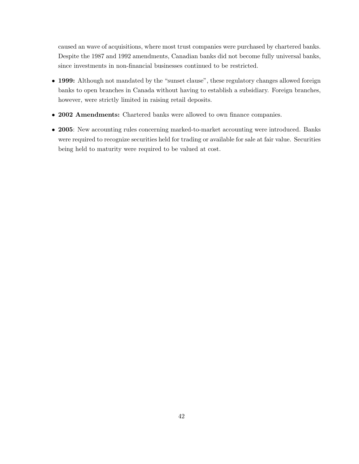caused an wave of acquisitions, where most trust companies were purchased by chartered banks. Despite the 1987 and 1992 amendments, Canadian banks did not become fully universal banks, since investments in non-financial businesses continued to be restricted.

- 1999: Although not mandated by the "sunset clause", these regulatory changes allowed foreign banks to open branches in Canada without having to establish a subsidiary. Foreign branches, however, were strictly limited in raising retail deposits.
- 2002 Amendments: Chartered banks were allowed to own finance companies.
- 2005: New accounting rules concerning marked-to-market accounting were introduced. Banks were required to recognize securities held for trading or available for sale at fair value. Securities being held to maturity were required to be valued at cost.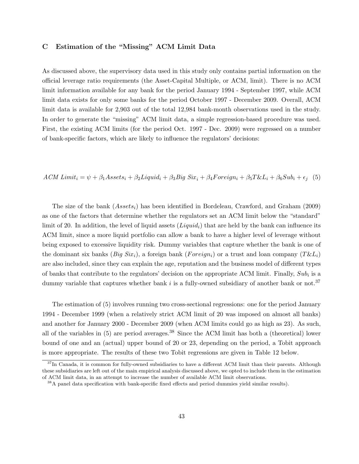#### C Estimation of the "Missing" ACM Limit Data

As discussed above, the supervisory data used in this study only contains partial information on the official leverage ratio requirements (the Asset-Capital Multiple, or ACM, limit). There is no ACM limit information available for any bank for the period January 1994 - September 1997, while ACM limit data exists for only some banks for the period October 1997 - December 2009. Overall, ACM limit data is available for 2,903 out of the total 12,984 bank-month observations used in the study. In order to generate the "missing" ACM limit data, a simple regression-based procedure was used. First, the existing ACM limits (for the period Oct. 1997 - Dec. 2009) were regressed on a number of bank-specific factors, which are likely to influence the regulators' decisions:

ACM Limit<sub>i</sub> =  $\psi + \beta_1 A$ ssets<sub>i</sub> +  $\beta_2$ Liquid<sub>i</sub> +  $\beta_3 B$ ig Six<sub>i</sub> +  $\beta_4$ Foreign<sub>i</sub> +  $\beta_5 T \& L_i + \beta_6 S u b_i + \epsilon_i$  (5)

The size of the bank  $(Assets_i)$  has been identified in Bordeleau, Crawford, and Graham (2009) as one of the factors that determine whether the regulators set an ACM limit below the "standard" limit of 20. In addition, the level of liquid assets  $(Liquid<sub>i</sub>)$  that are held by the bank can influence its ACM limit, since a more liquid portfolio can allow a bank to have a higher level of leverage without being exposed to excessive liquidity risk. Dummy variables that capture whether the bank is one of the dominant six banks (*Big Six<sub>i</sub>*), a foreign bank (*Foreign<sub>i</sub>*) or a trust and loan company ( $T\&L_i$ ) are also included, since they can explain the age, reputation and the business model of different types of banks that contribute to the regulators' decision on the appropriate ACM limit. Finally,  $Sub_i$  is a dummy variable that captures whether bank  $i$  is a fully-owned subsidiary of another bank or not.<sup>37</sup>

The estimation of (5) involves running two cross-sectional regressions: one for the period January 1994 - December 1999 (when a relatively strict ACM limit of 20 was imposed on almost all banks) and another for January 2000 - December 2009 (when ACM limits could go as high as 23). As such, all of the variables in  $(5)$  are period averages.<sup>38</sup> Since the ACM limit has both a (theoretical) lower bound of one and an (actual) upper bound of 20 or 23, depending on the period, a Tobit approach is more appropriate. The results of these two Tobit regressions are given in Table 12 below.

<sup>&</sup>lt;sup>37</sup>In Canada, it is common for fully-owned subsidiaries to have a different ACM limit than their parents. Although these subsidiaries are left out of the main empirical analysis discussed above, we opted to include them in the estimation of ACM limit data, in an attempt to increase the number of available ACM limit observations.

<sup>38</sup>A panel data specification with bank-specific fixed effects and period dummies yield similar results).